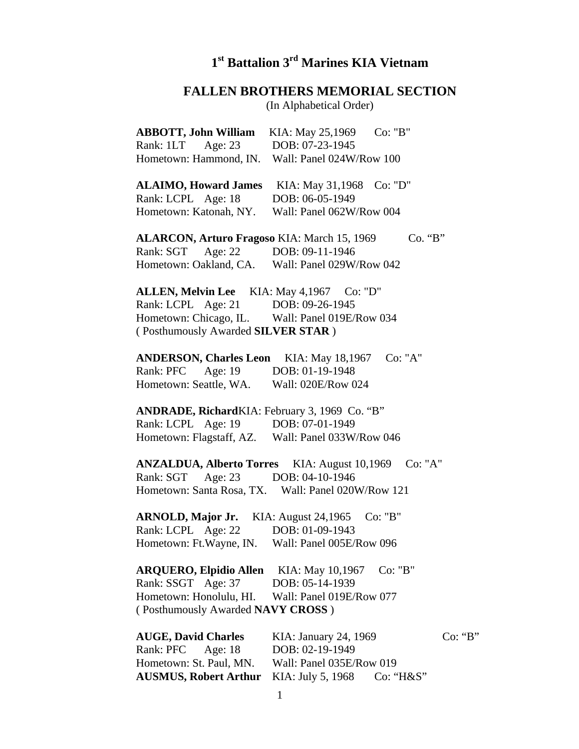## **1st Battalion 3rd Marines KIA Vietnam**

## **FALLEN BROTHERS MEMORIAL SECTION**

(In Alphabetical Order)

| <b>ABBOTT, John William</b>                                                          | KIA: May 25,1969                            | Co: "B"      |         |
|--------------------------------------------------------------------------------------|---------------------------------------------|--------------|---------|
| Rank: 1LT Age: 23<br>Hometown: Hammond, IN.                                          | DOB: 07-23-1945<br>Wall: Panel 024W/Row 100 |              |         |
| ALAIMO, Howard James KIA: May 31,1968 Co: "D"<br>Rank: LCPL Age: 18                  | DOB: 06-05-1949                             |              |         |
| Hometown: Katonah, NY.                                                               | Wall: Panel 062W/Row 004                    |              |         |
| ALARCON, Arturo Fragoso KIA: March 15, 1969                                          |                                             | Co. "B"      |         |
| Rank: SGT Age: 22 DOB: 09-11-1946<br>Hometown: Oakland, CA. Wall: Panel 029W/Row 042 |                                             |              |         |
| ALLEN, Melvin Lee KIA: May 4,1967 Co: "D"                                            |                                             |              |         |
| Rank: LCPL Age: 21                                                                   | DOB: 09-26-1945                             |              |         |
| Hometown: Chicago, IL. Wall: Panel 019E/Row 034                                      |                                             |              |         |
| (Posthumously Awarded SILVER STAR)                                                   |                                             |              |         |
|                                                                                      |                                             |              |         |
| <b>ANDERSON, Charles Leon</b>                                                        | KIA: May 18,1967                            | Co: "A"      |         |
| Rank: PFC Age: 19 DOB: 01-19-1948                                                    |                                             |              |         |
| Hometown: Seattle, WA.                                                               | Wall: 020E/Row 024                          |              |         |
| ANDRADE, RichardKIA: February 3, 1969 Co. "B"                                        |                                             |              |         |
| Rank: LCPL Age: 19 DOB: 07-01-1949                                                   |                                             |              |         |
| Hometown: Flagstaff, AZ. Wall: Panel 033W/Row 046                                    |                                             |              |         |
|                                                                                      |                                             |              |         |
| <b>ANZALDUA, Alberto Torres</b> KIA: August 10,1969                                  |                                             | Co: "A"      |         |
| Rank: SGT<br>Age: $23$                                                               | DOB: 04-10-1946                             |              |         |
| Hometown: Santa Rosa, TX. Wall: Panel 020W/Row 121                                   |                                             |              |         |
|                                                                                      |                                             |              |         |
| ARNOLD, Major Jr. KIA: August 24,1965                                                |                                             | Co: "B"      |         |
| Rank: LCPL Age: 22                                                                   | DOB: 01-09-1943                             |              |         |
| Hometown: Ft.Wayne, IN.                                                              | Wall: Panel 005E/Row 096                    |              |         |
|                                                                                      |                                             |              |         |
| <b>ARQUERO, Elpidio Allen</b>                                                        | KIA: May 10,1967                            | Co: "B"      |         |
| Rank: SSGT Age: 37                                                                   | DOB: 05-14-1939                             |              |         |
| Hometown: Honolulu, HI.                                                              | Wall: Panel 019E/Row 077                    |              |         |
| (Posthumously Awarded NAVY CROSS)                                                    |                                             |              |         |
|                                                                                      |                                             |              |         |
| <b>AUGE, David Charles</b>                                                           | KIA: January 24, 1969                       |              | Co: "B" |
| Rank: PFC<br>Age: $18$                                                               | DOB: 02-19-1949                             |              |         |
| Hometown: St. Paul, MN.                                                              | Wall: Panel 035E/Row 019                    |              |         |
| <b>AUSMUS, Robert Arthur</b>                                                         | KIA: July 5, 1968                           | $Co: "H\&S"$ |         |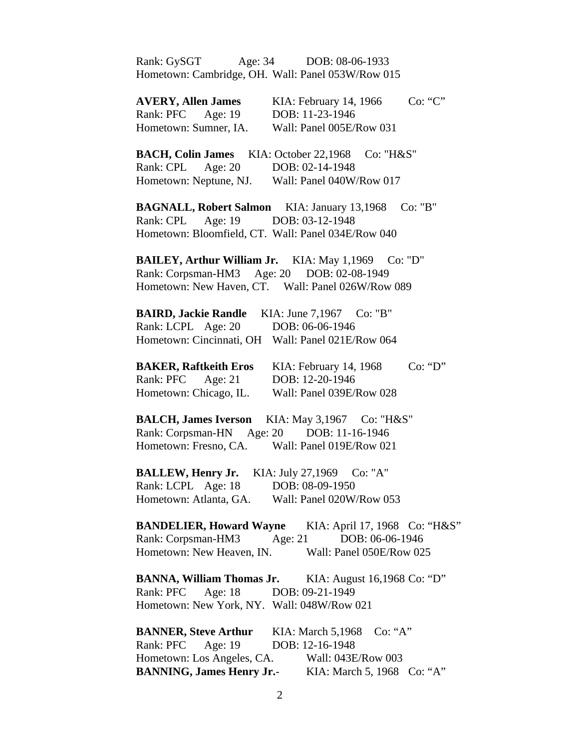| Rank: GySGT                                        | Age: 34 DOB: 08-06-1933                                      |
|----------------------------------------------------|--------------------------------------------------------------|
| Hometown: Cambridge, OH. Wall: Panel 053W/Row 015  |                                                              |
|                                                    |                                                              |
| <b>AVERY, Allen James</b>                          | Co: "C"<br>KIA: February 14, 1966                            |
| Age: 19<br>Rank: PFC                               | DOB: 11-23-1946                                              |
| Hometown: Sumner, IA.                              | Wall: Panel 005E/Row 031                                     |
|                                                    |                                                              |
| <b>BACH, Colin James</b> KIA: October 22,1968      | Co: "H&S"                                                    |
| Rank: CPL Age: 20                                  | DOB: 02-14-1948                                              |
| Hometown: Neptune, NJ.                             | Wall: Panel 040W/Row 017                                     |
|                                                    |                                                              |
| <b>BAGNALL, Robert Salmon</b> KIA: January 13,1968 | Co: "B"                                                      |
| Rank: CPL<br>Age: $19$                             | DOB: 03-12-1948                                              |
| Hometown: Bloomfield, CT. Wall: Panel 034E/Row 040 |                                                              |
|                                                    |                                                              |
| <b>BAILEY, Arthur William Jr.</b> KIA: May 1,1969  | Co: "D"                                                      |
| Rank: Corpsman-HM3 Age: 20 DOB: 02-08-1949         |                                                              |
|                                                    | Hometown: New Haven, CT. Wall: Panel 026W/Row 089            |
|                                                    |                                                              |
| <b>BAIRD, Jackie Randle</b> KIA: June 7,1967       | Co: "B"                                                      |
| Rank: LCPL Age: 20                                 | DOB: 06-06-1946                                              |
|                                                    |                                                              |
| Hometown: Cincinnati, OH Wall: Panel 021E/Row 064  |                                                              |
|                                                    | Co: "D"                                                      |
| <b>BAKER, Raftkeith Eros</b><br>Age: $21$          | KIA: February 14, 1968<br>DOB: 12-20-1946                    |
| Rank: PFC                                          |                                                              |
| Hometown: Chicago, IL.                             | Wall: Panel 039E/Row 028                                     |
|                                                    | <b>BALCH, James Iverson</b> KIA: May 3,1967 Co: "H&S"        |
| Rank: Corpsman-HN Age: 20 DOB: 11-16-1946          |                                                              |
| Hometown: Fresno, CA.                              | Wall: Panel 019E/Row 021                                     |
|                                                    |                                                              |
| BALLEW, Henry Jr. KIA: July 27,1969 Co: "A"        |                                                              |
| Rank: LCPL Age: 18                                 | DOB: 08-09-1950                                              |
|                                                    |                                                              |
| Hometown: Atlanta, GA.                             | Wall: Panel 020W/Row 053                                     |
|                                                    | <b>BANDELIER, Howard Wayne</b> KIA: April 17, 1968 Co: "H&S" |
| Rank: Corpsman-HM3                                 | Age: $21$<br>DOB: 06-06-1946                                 |
|                                                    | Hometown: New Heaven, IN. Wall: Panel 050E/Row 025           |
|                                                    |                                                              |
|                                                    | <b>BANNA, William Thomas Jr.</b> KIA: August 16,1968 Co: "D" |
| Rank: PFC Age: 18 DOB: 09-21-1949                  |                                                              |
|                                                    |                                                              |
| Hometown: New York, NY. Wall: 048W/Row 021         |                                                              |
|                                                    | <b>BANNER, Steve Arthur</b> KIA: March 5,1968 Co: "A"        |
| Rank: PFC Age: 19                                  | DOB: 12-16-1948                                              |
|                                                    | Wall: 043E/Row 003                                           |
| Hometown: Los Angeles, CA.                         |                                                              |
| <b>BANNING, James Henry Jr.-</b>                   | KIA: March 5, 1968 Co: "A"                                   |

2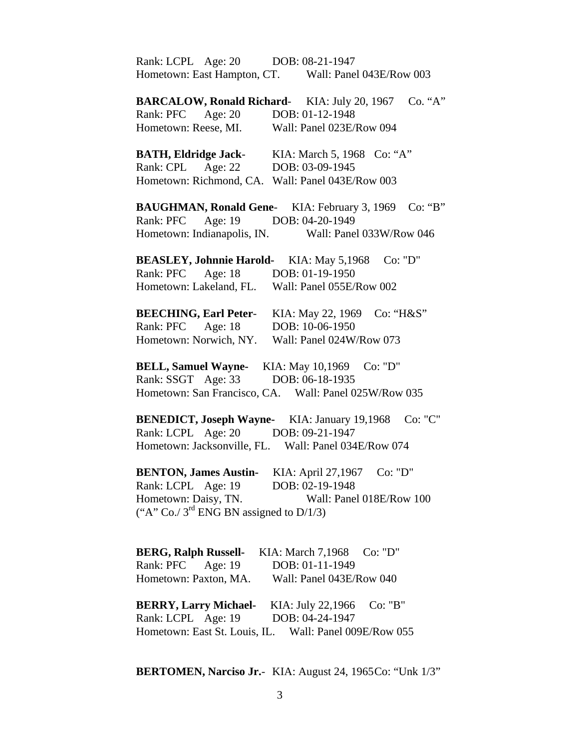| Rank: LCPL Age: 20 DOB: 08-21-1947                  |                                                                |
|-----------------------------------------------------|----------------------------------------------------------------|
|                                                     | Hometown: East Hampton, CT. Wall: Panel 043E/Row 003           |
| <b>BARCALOW, Ronald Richard-KIA: July 20, 1967</b>  | Co. "A"                                                        |
| Rank: PFC Age: 20                                   | DOB: 01-12-1948                                                |
| Hometown: Reese, MI.                                | Wall: Panel 023E/Row 094                                       |
| <b>BATH, Eldridge Jack-</b>                         | KIA: March 5, 1968 Co: "A"                                     |
| Age: $22$<br>Rank: CPL                              | DOB: 03-09-1945                                                |
| Hometown: Richmond, CA. Wall: Panel 043E/Row 003    |                                                                |
|                                                     | Co: "B"<br><b>BAUGHMAN, Ronald Gene-</b> KIA: February 3, 1969 |
| Rank: PFC                                           | Age: 19 DOB: 04-20-1949                                        |
| Hometown: Indianapolis, IN.                         | Wall: Panel 033W/Row 046                                       |
| <b>BEASLEY, Johnnie Harold-</b> KIA: May 5,1968     | Co: "D"                                                        |
| Rank: PFC Age: 18 DOB: 01-19-1950                   |                                                                |
| Hometown: Lakeland, FL.                             | Wall: Panel 055E/Row 002                                       |
| <b>BEECHING, Earl Peter-</b>                        | KIA: May 22, 1969<br>Co: "H&S"                                 |
| Age: 18<br>Rank: PFC                                | DOB: 10-06-1950                                                |
| Hometown: Norwich, NY.                              | Wall: Panel 024W/Row 073                                       |
| <b>BELL, Samuel Wayne-</b> KIA: May 10,1969         | Co: "D"                                                        |
| Rank: SSGT Age: 33                                  | DOB: 06-18-1935                                                |
|                                                     | Hometown: San Francisco, CA. Wall: Panel 025W/Row 035          |
| <b>BENEDICT, Joseph Wayne-</b> KIA: January 19,1968 | Co: "C"                                                        |
| Rank: LCPL Age: 20 DOB: 09-21-1947                  |                                                                |
|                                                     | Hometown: Jacksonville, FL. Wall: Panel 034E/Row 074           |
| <b>BENTON, James Austin-</b>                        | KIA: April 27,1967<br>Co: "D"                                  |
| Rank: LCPL Age: 19                                  | DOB: 02-19-1948                                                |
| Hometown: Daisy, TN.                                | Wall: Panel 018E/Row 100                                       |
| ("A" Co./ $3^{rd}$ ENG BN assigned to D/1/3)        |                                                                |
| <b>BERG, Ralph Russell-</b> KIA: March 7,1968       | Co: "D"                                                        |
| Rank: PFC Age: 19                                   | DOB: 01-11-1949                                                |
| Hometown: Paxton, MA.                               | Wall: Panel 043E/Row 040                                       |
| <b>BERRY, Larry Michael-</b> KIA: July 22,1966      | Co: "B"                                                        |
| Rank: LCPL Age: 19                                  | DOB: 04-24-1947                                                |
|                                                     | Hometown: East St. Louis, IL. Wall: Panel 009E/Row 055         |

**BERTOMEN, Narciso Jr.**- KIA: August 24, 1965 Co: "Unk 1/3"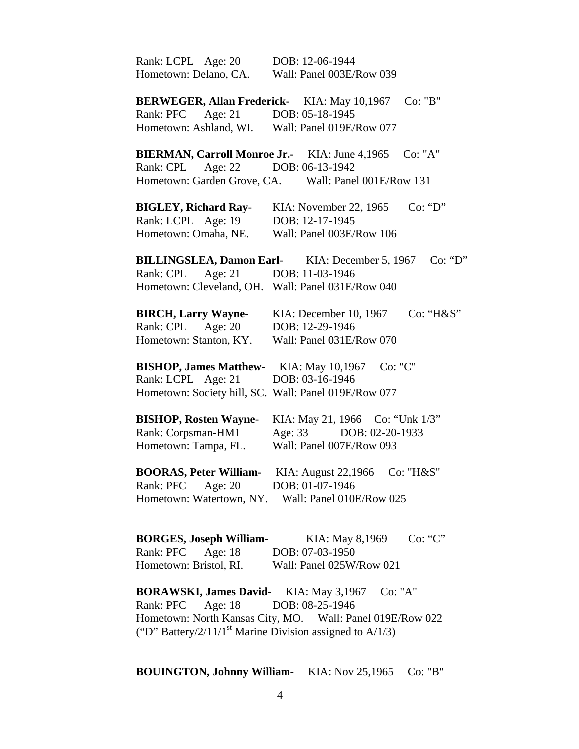| Rank: LCPL Age: 20                                                      | DOB: 12-06-1944                                                  |
|-------------------------------------------------------------------------|------------------------------------------------------------------|
| Hometown: Delano, CA.                                                   | Wall: Panel 003E/Row 039                                         |
| <b>BERWEGER, Allan Frederick-</b> KIA: May 10,1967                      | Co: "B"                                                          |
| Rank: PFC Age: 21 DOB: 05-18-1945                                       |                                                                  |
| Hometown: Ashland, WI. Wall: Panel 019E/Row 077                         |                                                                  |
| BIERMAN, Carroll Monroe Jr.- KIA: June 4,1965                           | Co: "A"                                                          |
| Age: 22<br>Rank: CPL                                                    | DOB: 06-13-1942                                                  |
| Hometown: Garden Grove, CA.                                             | Wall: Panel 001E/Row 131                                         |
| <b>BIGLEY, Richard Ray-</b>                                             | Co: "D"<br>KIA: November 22, 1965                                |
| Rank: LCPL Age: 19                                                      | DOB: 12-17-1945                                                  |
| Hometown: Omaha, NE.                                                    | Wall: Panel 003E/Row 106                                         |
|                                                                         | <b>BILLINGSLEA, Damon Earl-</b> KIA: December 5, 1967<br>Co: "D" |
| Rank: CPL Age: 21                                                       | DOB: 11-03-1946                                                  |
| Hometown: Cleveland, OH. Wall: Panel 031E/Row 040                       |                                                                  |
| <b>BIRCH, Larry Wayne-</b>                                              | Co: "H&S"<br>KIA: December 10, 1967                              |
| Age: $20$<br>Rank: CPL                                                  | DOB: 12-29-1946                                                  |
| Hometown: Stanton, KY.                                                  | Wall: Panel 031E/Row 070                                         |
| <b>BISHOP, James Matthew-</b> KIA: May 10,1967                          | Co: "C"                                                          |
| Rank: LCPL Age: 21                                                      | DOB: 03-16-1946                                                  |
| Hometown: Society hill, SC. Wall: Panel 019E/Row 077                    |                                                                  |
| <b>BISHOP, Rosten Wayne-</b>                                            | KIA: May 21, 1966 Co: "Unk 1/3"                                  |
| Rank: Corpsman-HM1                                                      | Age: 33 DOB: 02-20-1933                                          |
| Hometown: Tampa, FL.                                                    | Wall: Panel 007E/Row 093                                         |
| <b>BOORAS, Peter William-</b>                                           | KIA: August 22,1966<br>Co: "H&S"                                 |
| Age: $20$<br>Rank: PFC                                                  | DOB: 01-07-1946                                                  |
|                                                                         | Hometown: Watertown, NY. Wall: Panel 010E/Row 025                |
|                                                                         | Co: "C"                                                          |
| <b>BORGES, Joseph William-</b><br>Rank: PFC<br>Age: $18$                | KIA: May 8,1969<br>DOB: 07-03-1950                               |
|                                                                         |                                                                  |
| Hometown: Bristol, RI.                                                  | Wall: Panel 025W/Row 021                                         |
| <b>BORAWSKI, James David-</b> KIA: May 3,1967                           | Co: "A"<br>DOB: 08-25-1946                                       |
| Age: 18<br>Rank: PFC                                                    | Hometown: North Kansas City, MO. Wall: Panel 019E/Row 022        |
| ("D" Battery/2/11/1 <sup>st</sup> Marine Division assigned to $A/1/3$ ) |                                                                  |
|                                                                         |                                                                  |

## **BOUINGTON, Johnny William-** KIA: Nov 25,1965 Co: "B"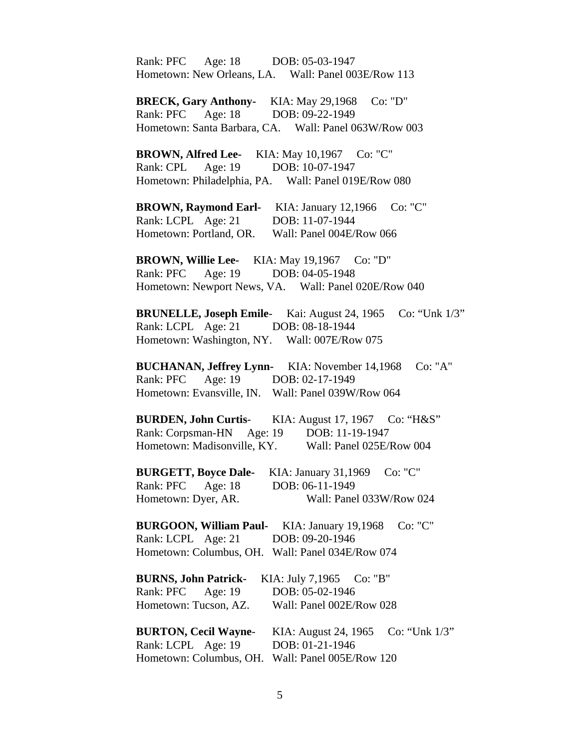Rank: PFC Age: 18 DOB: 05-03-1947 Hometown: New Orleans, LA. Wall: Panel 003E/Row 113

**BRECK, Gary Anthony-** KIA: May 29,1968 Co: "D" Rank: PFC Age: 18 DOB: 09-22-1949 Hometown: Santa Barbara, CA. Wall: Panel 063W/Row 003

**BROWN, Alfred Lee-** KIA: May 10,1967 Co: "C" Rank: CPL Age: 19 DOB: 10-07-1947 Hometown: Philadelphia, PA. Wall: Panel 019E/Row 080

**BROWN, Raymond Earl-** KIA: January 12,1966 Co: "C" Rank: LCPL Age: 21 DOB: 11-07-1944 Hometown: Portland, OR. Wall: Panel 004E/Row 066

**BROWN, Willie Lee-** KIA: May 19,1967 Co: "D" Rank: PFC Age: 19 DOB: 04-05-1948 Hometown: Newport News, VA. Wall: Panel 020E/Row 040

 **BRUNELLE, Joseph Emile**- Kai: August 24, 1965 Co: "Unk 1/3" Rank: LCPL Age: 21 DOB: 08-18-1944 Hometown: Washington, NY. Wall: 007E/Row 075

 **BUCHANAN, Jeffrey Lynn-** KIA: November 14,1968 Co: "A" Rank: PFC Age: 19 DOB: 02-17-1949 Hometown: Evansville, IN. Wall: Panel 039W/Row 064

 **BURDEN, John Curtis**- KIA: August 17, 1967 Co: "H&S" Rank: Corpsman-HN Age: 19 DOB: 11-19-1947 Hometown: Madisonville, KY. Wall: Panel 025E/Row 004

**BURGETT, Boyce Dale-** KIA: January 31,1969 Co: "C" Rank: PFC Age: 18 DOB: 06-11-1949 Hometown: Dyer, AR. Wall: Panel 033W/Row 024

**BURGOON, William Paul-** KIA: January 19,1968 Co: "C" Rank: LCPL Age: 21 DOB: 09-20-1946 Hometown: Columbus, OH. Wall: Panel 034E/Row 074

|                             | BURNS, John Patrick- KIA: July 7,1965 Co: "B"    |
|-----------------------------|--------------------------------------------------|
| Rank: PFC Age: 19           | DOB: 05-02-1946                                  |
| Hometown: Tucson, AZ.       | Wall: Panel 002E/Row 028                         |
|                             |                                                  |
| <b>BURTON, Cecil Wayne-</b> | KIA: August 24, 1965 Co: "Unk $1/3$ "            |
| Rank: LCPL Age: 19          | DOB: 01-21-1946                                  |
|                             | Hometown: Columbus, OH. Wall: Panel 005E/Row 120 |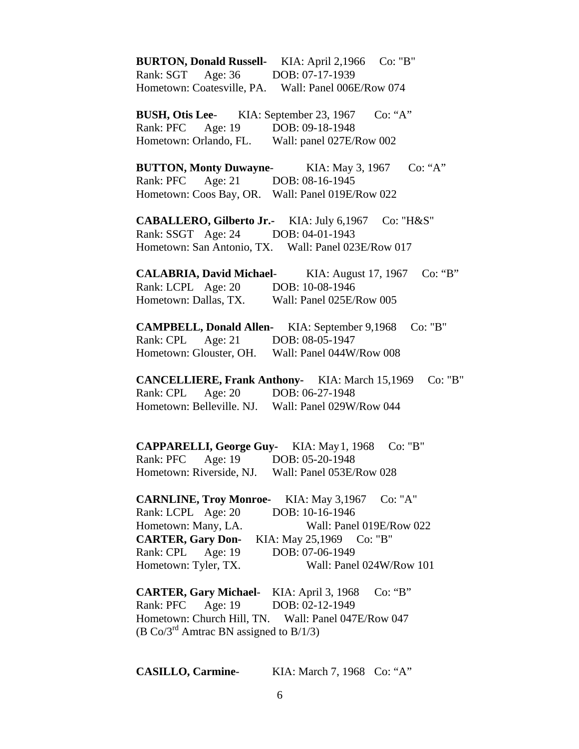**BURTON, Donald Russell-** KIA: April 2,1966 Co: "B" Rank: SGT Age: 36 DOB: 07-17-1939 Hometown: Coatesville, PA. Wall: Panel 006E/Row 074 **BUSH, Otis Lee-** KIA: September 23, 1967 Co: "A" Rank: PFC Age: 19 DOB: 09-18-1948 Hometown: Orlando, FL. Wall: panel 027E/Row 002 **BUTTON, Monty Duwayne**- KIA: May 3, 1967 Co: "A" Rank: PFC Age: 21 DOB: 08-16-1945 Hometown: Coos Bay, OR. Wall: Panel 019E/Row 022 **CABALLERO, Gilberto Jr.-** KIA: July 6,1967 Co: "H&S" Rank: SSGT Age: 24 DOB: 04-01-1943 Hometown: San Antonio, TX. Wall: Panel 023E/Row 017 **CALABRIA, David Michael**- KIA: August 17, 1967 Co: "B" Rank: LCPL Age: 20 DOB: 10-08-1946 Hometown: Dallas, TX. Wall: Panel 025E/Row 005 **CAMPBELL, Donald Allen-** KIA: September 9,1968 Co: "B" Rank: CPL Age: 21 DOB: 08-05-1947 Hometown: Glouster, OH. Wall: Panel 044W/Row 008 **CANCELLIERE, Frank Anthony-** KIA: March 15,1969 Co: "B" Rank: CPL Age: 20 DOB: 06-27-1948 Hometown: Belleville. NJ. Wall: Panel 029W/Row 044 **CAPPARELLI, George Guy-** KIA: May 1, 1968 Co: "B" Rank: PFC Age: 19 DOB: 05-20-1948 Hometown: Riverside, NJ. Wall: Panel 053E/Row 028 **CARNLINE, Troy Monroe-** KIA: May 3,1967 Co: "A" Rank: LCPL Age: 20 DOB: 10-16-1946 Hometown: Many, LA. Wall: Panel 019E/Row 022 **CARTER, Gary Don-** KIA: May 25,1969 Co: "B" Rank: CPL Age: 19 DOB: 07-06-1949 Hometown: Tyler, TX. Wall: Panel 024W/Row 101 **CARTER, Gary Michael**- KIA: April 3, 1968 Co: "B" Rank: PFC Age: 19 DOB: 02-12-1949 Hometown: Church Hill, TN. Wall: Panel 047E/Row 047

(B Co/3<sup>rd</sup> Amtrac BN assigned to B/1/3)

**CASILLO, Carmine**- KIA: March 7, 1968 Co: "A"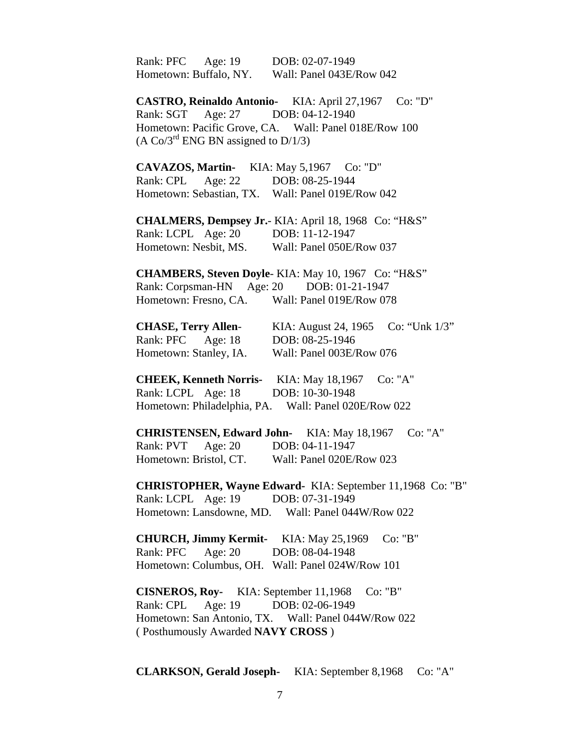| Rank: PFC Age: 19 DOB: 02-07-1949<br>Hometown: Buffalo, NY. Wall: Panel 043E/Row 042                                               |                                                                                                                            |
|------------------------------------------------------------------------------------------------------------------------------------|----------------------------------------------------------------------------------------------------------------------------|
| Rank: SGT Age: 27 DOB: 04-12-1940<br>$(A \text{ Co/3}^{\text{rd}}$ ENG BN assigned to D/1/3)                                       | CASTRO, Reinaldo Antonio- KIA: April 27,1967 Co: "D"<br>Hometown: Pacific Grove, CA. Wall: Panel 018E/Row 100              |
| CAVAZOS, Martin- KIA: May 5,1967 Co: "D"<br>Rank: CPL Age: 22 DOB: 08-25-1944<br>Hometown: Sebastian, TX. Wall: Panel 019E/Row 042 |                                                                                                                            |
| Rank: LCPL Age: 20 DOB: 11-12-1947<br>Hometown: Nesbit, MS. Wall: Panel 050E/Row 037                                               | CHALMERS, Dempsey Jr.- KIA: April 18, 1968 Co: "H&S"                                                                       |
| Rank: Corpsman-HN Age: 20 DOB: 01-21-1947<br>Hometown: Fresno, CA. Wall: Panel 019E/Row 078                                        | <b>CHAMBERS, Steven Doyle- KIA: May 10, 1967 Co: "H&amp;S"</b>                                                             |
| <b>CHASE, Terry Allen-</b><br>Rank: PFC Age: 18<br>Hometown: Stanley, IA.                                                          | KIA: August 24, 1965 Co: "Unk 1/3"<br>DOB: 08-25-1946<br>Wall: Panel 003E/Row 076                                          |
| Rank: LCPL Age: 18                                                                                                                 | CHEEK, Kenneth Norris- KIA: May 18,1967 Co: "A"<br>DOB: 10-30-1948<br>Hometown: Philadelphia, PA. Wall: Panel 020E/Row 022 |
| Age: $20$<br>Rank: PVT<br>Hometown: Bristol, CT.                                                                                   | <b>CHRISTENSEN, Edward John-</b> KIA: May 18,1967<br>Co: "A"<br>DOB: 04-11-1947<br>Wall: Panel 020E/Row 023                |
| Rank: LCPL Age: 19 DOB: 07-31-1949                                                                                                 | CHRISTOPHER, Wayne Edward- KIA: September 11,1968 Co: "B"<br>Hometown: Lansdowne, MD. Wall: Panel 044W/Row 022             |
| <b>CHURCH, Jimmy Kermit-</b> KIA: May 25,1969<br>Rank: PFC Age: 20<br>Hometown: Columbus, OH. Wall: Panel 024W/Row 101             | Co: "B"<br>DOB: 08-04-1948                                                                                                 |
| <b>CISNEROS, Roy-</b> KIA: September 11,1968<br>Rank: CPL<br>Age: 19<br>(Posthumously Awarded NAVY CROSS)                          | Co: "B"<br>DOB: 02-06-1949<br>Hometown: San Antonio, TX. Wall: Panel 044W/Row 022                                          |

**CLARKSON, Gerald Joseph-** KIA: September 8,1968 Co: "A"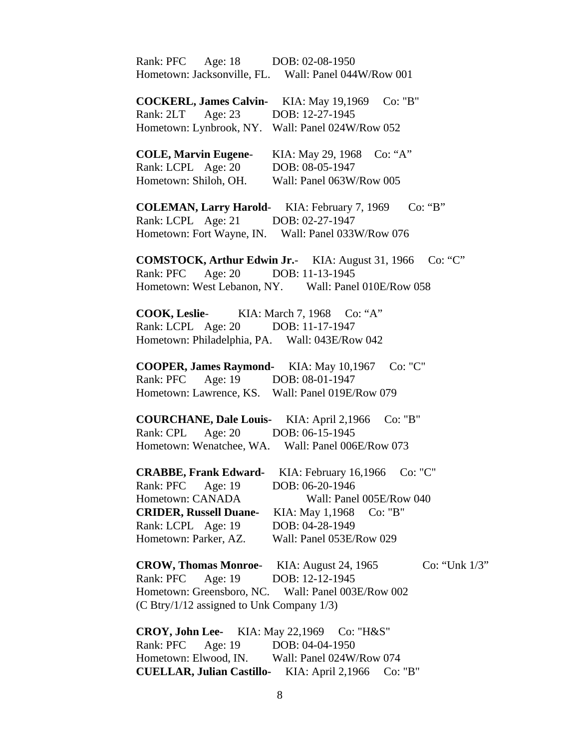| Rank: PFC Age: 18 DOB: 02-08-1950                                   |
|---------------------------------------------------------------------|
| Hometown: Jacksonville, FL. Wall: Panel 044W/Row 001                |
| COCKERL, James Calvin- KIA: May 19,1969 Co: "B"                     |
| Rank: 2LT Age: 23 DOB: 12-27-1945                                   |
| Hometown: Lynbrook, NY. Wall: Panel 024W/Row 052                    |
| <b>COLE, Marvin Eugene-</b><br>KIA: May 29, 1968 Co: "A"            |
| Rank: LCPL Age: 20<br>DOB: 08-05-1947                               |
| Hometown: Shiloh, OH.<br>Wall: Panel 063W/Row 005                   |
| Co: "B"<br><b>COLEMAN, Larry Harold-</b> KIA: February 7, 1969      |
| Rank: LCPL Age: 21 DOB: 02-27-1947                                  |
| Hometown: Fort Wayne, IN. Wall: Panel 033W/Row 076                  |
| <b>COMSTOCK, Arthur Edwin Jr.</b> KIA: August 31, 1966<br>Co: "C"   |
| Rank: PFC Age: 20 DOB: 11-13-1945                                   |
| Hometown: West Lebanon, NY. Wall: Panel 010E/Row 058                |
| COOK, Leslie-<br>KIA: March 7, 1968 Co: "A"                         |
| Rank: LCPL Age: 20<br>DOB: 11-17-1947                               |
| Hometown: Philadelphia, PA. Wall: 043E/Row 042                      |
| <b>COOPER, James Raymond-</b> KIA: May 10,1967 Co: "C"              |
| Age: 19 DOB: 08-01-1947<br>Rank: PFC                                |
| Hometown: Lawrence, KS. Wall: Panel 019E/Row 079                    |
| <b>COURCHANE, Dale Louis-</b> KIA: April 2,1966<br>Co: "B"          |
| Rank: CPL Age: 20 DOB: 06-15-1945                                   |
| Hometown: Wenatchee, WA. Wall: Panel 006E/Row 073                   |
| CRABBE, Frank Edward- KIA: February 16,1966<br>Co: "C"              |
| Rank: PFC<br>DOB: 06-20-1946<br>Age: 19                             |
| Hometown: CANADA<br>Wall: Panel 005E/Row 040                        |
| <b>CRIDER, Russell Duane-</b><br>KIA: May 1,1968 Co: "B"            |
| Rank: LCPL Age: 19<br>DOB: 04-28-1949                               |
| Hometown: Parker, AZ.<br>Wall: Panel 053E/Row 029                   |
| <b>CROW, Thomas Monroe</b> KIA: August 24, 1965<br>Co: "Unk $1/3$ " |
| Age: 19<br>DOB: 12-12-1945<br>Rank: PFC                             |
| Hometown: Greensboro, NC. Wall: Panel 003E/Row 002                  |
| (C Btry/1/12 assigned to Unk Company 1/3)                           |
| CROY, John Lee- KIA: May 22,1969 Co: "H&S"                          |
| Age: 19<br>Rank: PFC<br>DOB: 04-04-1950                             |
| Hometown: Elwood, IN. Wall: Panel 024W/Row 074                      |
| <b>CUELLAR, Julian Castillo-</b> KIA: April 2,1966<br>Co: "B"       |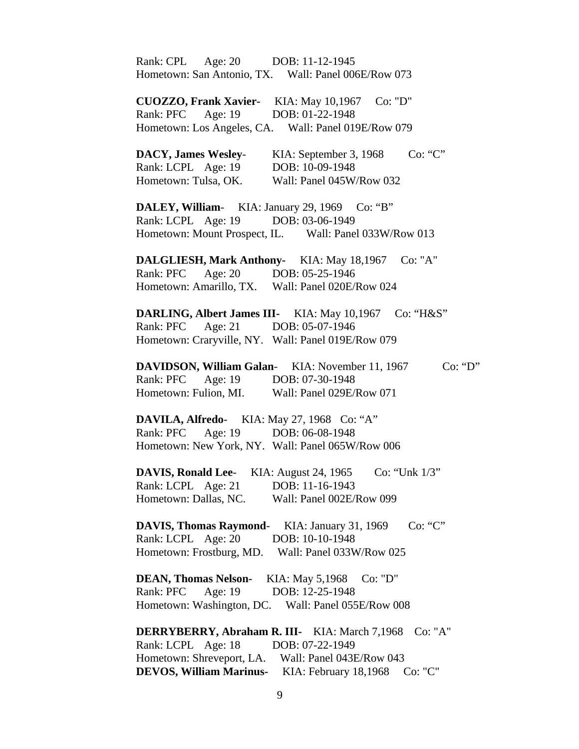Rank: CPL Age: 20 DOB: 11-12-1945 Hometown: San Antonio, TX. Wall: Panel 006E/Row 073 **CUOZZO, Frank Xavier-** KIA: May 10,1967 Co: "D" Rank: PFC Age: 19 DOB: 01-22-1948 Hometown: Los Angeles, CA. Wall: Panel 019E/Row 079 **DACY, James Wesley-** KIA: September 3, 1968 Co: "C" Rank: LCPL Age: 19 DOB: 10-09-1948 Hometown: Tulsa, OK. Wall: Panel 045W/Row 032 **DALEY, William**- KIA: January 29, 1969 Co: "B" Rank: LCPL Age: 19 DOB: 03-06-1949 Hometown: Mount Prospect, IL. Wall: Panel 033W/Row 013 **DALGLIESH, Mark Anthony-** KIA: May 18,1967 Co: "A" Rank: PFC Age: 20 DOB: 05-25-1946 Hometown: Amarillo, TX. Wall: Panel 020E/Row 024 **DARLING, Albert James III-** KIA: May 10,1967 Co: "H&S" Rank: PFC Age: 21 DOB: 05-07-1946 Hometown: Craryville, NY. Wall: Panel 019E/Row 079 **DAVIDSON, William Galan-** KIA: November 11, 1967 Co: "D" Rank: PFC Age: 19 DOB: 07-30-1948 Hometown: Fulion, MI. Wall: Panel 029E/Row 071 **DAVILA, Alfredo**- KIA: May 27, 1968 Co: "A" Rank: PFC Age: 19 DOB: 06-08-1948 Hometown: New York, NY. Wall: Panel 065W/Row 006 **DAVIS, Ronald Lee-** KIA: August 24, 1965 Co: "Unk 1/3" Rank: LCPL Age: 21 DOB: 11-16-1943 Hometown: Dallas, NC. Wall: Panel 002E/Row 099 **DAVIS, Thomas Raymond-** KIA: January 31, 1969 Co: "C" Rank: LCPL Age: 20 DOB: 10-10-1948 Hometown: Frostburg, MD. Wall: Panel 033W/Row 025 **DEAN, Thomas Nelson-** KIA: May 5,1968 Co: "D" Rank: PFC Age: 19 DOB: 12-25-1948 Hometown: Washington, DC. Wall: Panel 055E/Row 008 **DERRYBERRY, Abraham R. III-** KIA: March 7,1968 Co: "A" Rank: LCPL Age: 18 DOB: 07-22-1949 Hometown: Shreveport, LA. Wall: Panel 043E/Row 043 **DEVOS, William Marinus-** KIA: February 18,1968 Co: "C"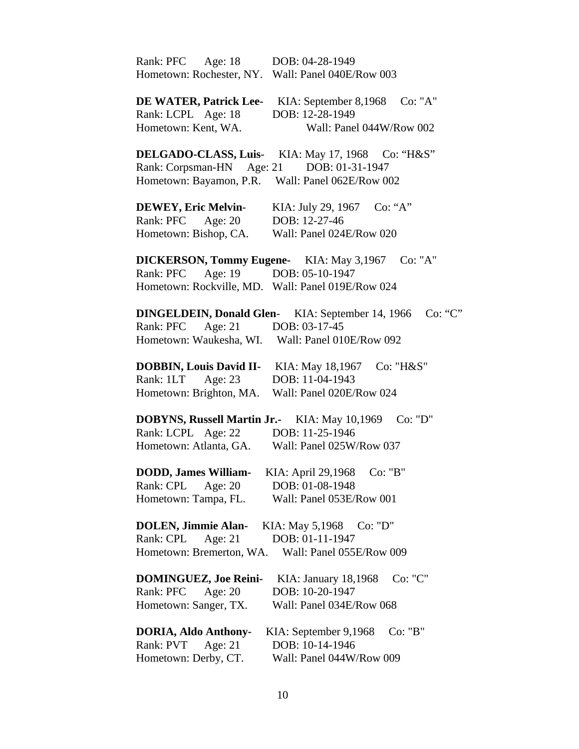| Rank: PFC Age: 18                                   | DOB: 04-28-1949                                  |
|-----------------------------------------------------|--------------------------------------------------|
| Hometown: Rochester, NY.                            | Wall: Panel 040E/Row 003                         |
|                                                     |                                                  |
| <b>DE WATER, Patrick Lee-</b> KIA: September 8,1968 | Co: "A"                                          |
| Rank: LCPL Age: 18                                  | DOB: 12-28-1949                                  |
| Hometown: Kent, WA.                                 | Wall: Panel 044W/Row 002                         |
|                                                     |                                                  |
|                                                     | DELGADO-CLASS, Luis- KIA: May 17, 1968 Co: "H&S" |
| Rank: Corpsman-HN Age: 21 DOB: 01-31-1947           |                                                  |
| Hometown: Bayamon, P.R. Wall: Panel 062E/Row 002    |                                                  |
|                                                     |                                                  |
| <b>DEWEY, Eric Melvin-</b>                          | KIA: July 29, 1967 Co: "A"                       |
| Rank: PFC Age: 20                                   | DOB: 12-27-46                                    |
| Hometown: Bishop, CA.                               | Wall: Panel 024E/Row 020                         |
|                                                     |                                                  |
| <b>DICKERSON, Tommy Eugene-</b> KIA: May 3,1967     | Co: "A"                                          |
| Rank: PFC                                           | Age: 19 DOB: 05-10-1947                          |
| Hometown: Rockville, MD. Wall: Panel 019E/Row 024   |                                                  |
|                                                     |                                                  |
| <b>DINGELDEIN, Donald Glen-</b>                     | Co: "C"<br>KIA: September 14, 1966               |
| Rank: PFC Age: 21                                   | DOB: 03-17-45                                    |
|                                                     | Hometown: Waukesha, WI. Wall: Panel 010E/Row 092 |
|                                                     |                                                  |
| <b>DOBBIN, Louis David II-</b>                      | KIA: May 18,1967<br>Co: "H&S"                    |
| Rank: 1LT<br>Age: 23                                | DOB: 11-04-1943                                  |
| Hometown: Brighton, MA.                             | Wall: Panel 020E/Row 024                         |
|                                                     |                                                  |
| <b>DOBYNS, Russell Martin Jr.-</b> KIA: May 10,1969 | Co: "D"                                          |
| Rank: LCPL Age: 22                                  | DOB: 11-25-1946                                  |
| Hometown: Atlanta, GA.                              | Wall: Panel 025W/Row 037                         |
|                                                     |                                                  |
| <b>DODD, James William-</b> KIA: April 29,1968      | Co: "B"                                          |
| Rank: CPL Age: 20                                   | DOB: 01-08-1948                                  |
| Hometown: Tampa, FL.                                | Wall: Panel 053E/Row 001                         |
|                                                     |                                                  |
| <b>DOLEN, Jimmie Alan-</b>                          | KIA: May 5,1968 Co: "D"                          |
| Rank: CPL Age: 21                                   | DOB: 01-11-1947                                  |
| Hometown: Bremerton, WA.                            | Wall: Panel 055E/Row 009                         |
|                                                     |                                                  |
| <b>DOMINGUEZ, Joe Reini-</b>                        | Co: "C"<br>KIA: January 18,1968                  |
| Rank: PFC<br>Age: $20$                              | DOB: 10-20-1947                                  |
| Hometown: Sanger, TX.                               | Wall: Panel 034E/Row 068                         |
|                                                     |                                                  |
| <b>DORIA, Aldo Anthony-</b>                         | KIA: September 9,1968<br>Co: "B"                 |
| Rank: PVT<br>Age: $21$                              | DOB: 10-14-1946                                  |
| Hometown: Derby, CT.                                | Wall: Panel 044W/Row 009                         |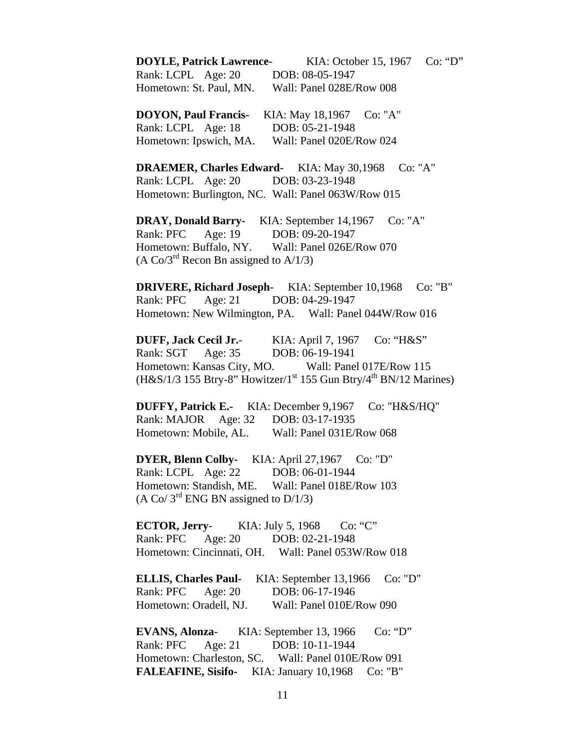**DOYLE, Patrick Lawrence**- KIA: October 15, 1967 Co: "D" Rank: LCPL Age: 20 DOB: 08-05-1947 Hometown: St. Paul, MN. Wall: Panel 028E/Row 008

**DOYON, Paul Francis-** KIA: May 18,1967 Co: "A" Rank: LCPL Age: 18 DOB: 05-21-1948 Hometown: Ipswich, MA. Wall: Panel 020E/Row 024

**DRAEMER, Charles Edward-** KIA: May 30,1968 Co: "A" Rank: LCPL Age: 20 DOB: 03-23-1948 Hometown: Burlington, NC. Wall: Panel 063W/Row 015

**DRAY, Donald Barry-** KIA: September 14,1967 Co: "A" Rank: PFC Age: 19 DOB: 09-20-1947 Hometown: Buffalo, NY. Wall: Panel 026E/Row 070 (A Co/3<sup>rd</sup> Recon Bn assigned to A/1/3)

**DRIVERE, Richard Joseph-** KIA: September 10,1968 Co: "B" Rank: PFC Age: 21 DOB: 04-29-1947 Hometown: New Wilmington, PA. Wall: Panel 044W/Row 016

 **DUFF, Jack Cecil Jr.**- KIA: April 7, 1967 Co: "H&S" Rank: SGT Age: 35 DOB: 06-19-1941 Hometown: Kansas City, MO. Wall: Panel 017E/Row 115  $(H&S/1/3$  155 Btry-8" Howitzer/1<sup>st</sup> 155 Gun Btry/4<sup>th</sup> BN/12 Marines)

**DUFFY, Patrick E.-** KIA: December 9,1967 Co: "H&S/HQ" Rank: MAJOR Age: 32 DOB: 03-17-1935 Hometown: Mobile, AL. Wall: Panel 031E/Row 068

**DYER, Blenn Colby-** KIA: April 27,1967 Co: "D" Rank: LCPL Age: 22 DOB: 06-01-1944 Hometown: Standish, ME. Wall: Panel 018E/Row 103 (A Co/  $3^{\text{rd}}$  ENG BN assigned to D/1/3)

 **ECTOR, Jerry**- KIA: July 5, 1968 Co: "C" Rank: PFC Age: 20 DOB: 02-21-1948 Hometown: Cincinnati, OH. Wall: Panel 053W/Row 018

**ELLIS, Charles Paul-** KIA: September 13,1966 Co: "D" Rank: PFC Age: 20 DOB: 06-17-1946 Hometown: Oradell, NJ. Wall: Panel 010E/Row 090

**EVANS, Alonza**- KIA: September 13, 1966 Co: "D" Rank: PFC Age: 21 DOB: 10-11-1944 Hometown: Charleston, SC. Wall: Panel 010E/Row 091 **FALEAFINE, Sisifo-** KIA: January 10,1968 Co: "B"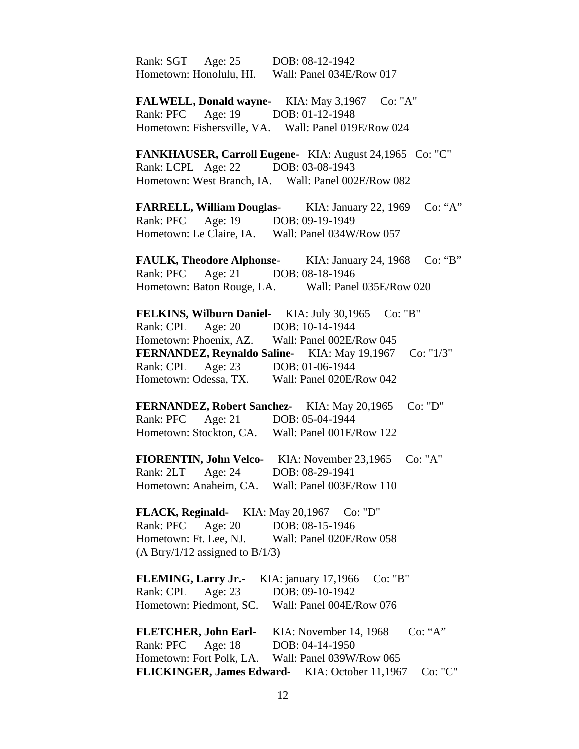Rank: SGT Age: 25 DOB: 08-12-1942 Hometown: Honolulu, HI. Wall: Panel 034E/Row 017

**FALWELL, Donald wayne-** KIA: May 3,1967 Co: "A" Rank: PFC Age: 19 DOB: 01-12-1948 Hometown: Fishersville, VA. Wall: Panel 019E/Row 024

**FANKHAUSER, Carroll Eugene-** KIA: August 24,1965 Co: "C" Rank: LCPL Age: 22 DOB: 03-08-1943 Hometown: West Branch, IA. Wall: Panel 002E/Row 082

 **FARRELL, William Douglas**- KIA: January 22, 1969 Co: "A" Rank: PFC Age: 19 DOB: 09-19-1949 Hometown: Le Claire, IA. Wall: Panel 034W/Row 057

 **FAULK, Theodore Alphonse**- KIA: January 24, 1968 Co: "B" Rank: PFC Age: 21 DOB: 08-18-1946 Hometown: Baton Rouge, LA. Wall: Panel 035E/Row 020

**FELKINS, Wilburn Daniel-** KIA: July 30,1965 Co: "B" Rank: CPL Age: 20 DOB: 10-14-1944 Hometown: Phoenix, AZ. Wall: Panel 002E/Row 045 **FERNANDEZ, Reynaldo Saline-** KIA: May 19,1967 Co: "1/3" Rank: CPL Age: 23 DOB: 01-06-1944 Hometown: Odessa, TX. Wall: Panel 020E/Row 042

**FERNANDEZ, Robert Sanchez-** KIA: May 20,1965 Co: "D" Rank: PFC Age: 21 DOB: 05-04-1944 Hometown: Stockton, CA. Wall: Panel 001E/Row 122

**FIORENTIN, John Velco-** KIA: November 23,1965 Co: "A" Rank: 2LT Age: 24 DOB: 08-29-1941 Hometown: Anaheim, CA. Wall: Panel 003E/Row 110

**FLACK, Reginald-** KIA: May 20,1967 Co: "D" Rank: PFC Age: 20 DOB: 08-15-1946 Hometown: Ft. Lee, NJ. Wall: Panel 020E/Row 058  $(A Btry/1/12$  assigned to  $B/1/3$ )

**FLEMING, Larry Jr.-** KIA: january 17,1966 Co: "B" Rank: CPL Age: 23 DOB: 09-10-1942 Hometown: Piedmont, SC. Wall: Panel 004E/Row 076

**FLETCHER, John Earl-** KIA: November 14, 1968 Co: "A" Rank: PFC Age: 18 DOB: 04-14-1950 Hometown: Fort Polk, LA. Wall: Panel 039W/Row 065 **FLICKINGER, James Edward-** KIA: October 11,1967 Co: "C"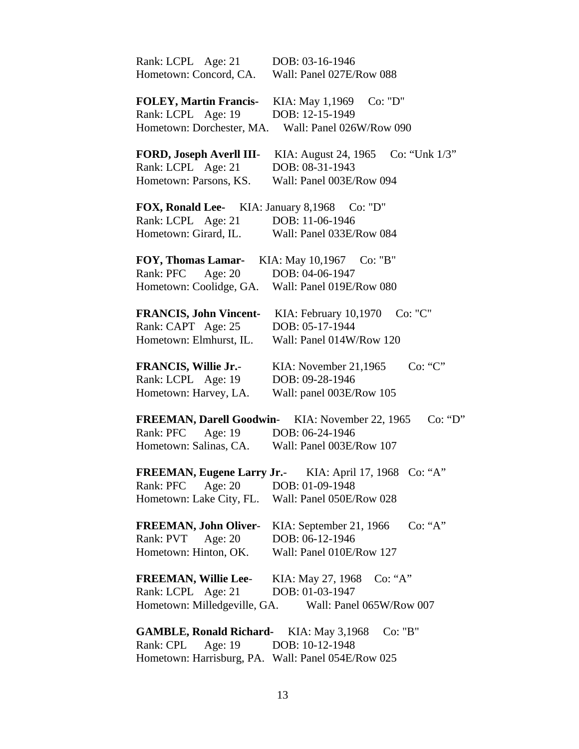| Rank: LCPL Age: 21<br>Hometown: Concord, CA. | DOB: 03-16-1946<br>Wall: Panel 027E/Row 088 |
|----------------------------------------------|---------------------------------------------|
|                                              |                                             |
| <b>FOLEY, Martin Francis-</b>                | KIA: May 1,1969<br>Co: "D"                  |
| Rank: LCPL Age: 19                           | DOB: 12-15-1949                             |
| Hometown: Dorchester, MA.                    | Wall: Panel 026W/Row 090                    |
| FORD, Joseph Averll III-                     | KIA: August 24, 1965<br>Co: "Unk $1/3$ "    |
| Rank: LCPL Age: 21                           | DOB: 08-31-1943                             |
| Hometown: Parsons, KS.                       | Wall: Panel 003E/Row 094                    |
| <b>FOX, Ronald Lee-</b> KIA: January 8,1968  | Co: "D"                                     |
| Rank: LCPL Age: 21                           | DOB: 11-06-1946                             |
| Hometown: Girard, IL.                        | Wall: Panel 033E/Row 084                    |
| <b>FOY, Thomas Lamar-</b>                    | KIA: May 10,1967<br>Co: "B"                 |
| Age: 20<br>Rank: PFC                         | DOB: 04-06-1947                             |
| Hometown: Coolidge, GA.                      | Wall: Panel 019E/Row 080                    |
|                                              |                                             |
| <b>FRANCIS, John Vincent-</b>                | Co: "C"<br>KIA: February 10,1970            |
| Rank: CAPT Age: 25                           | DOB: 05-17-1944                             |
| Hometown: Elmhurst, IL.                      | Wall: Panel 014W/Row 120                    |
| <b>FRANCIS, Willie Jr.-</b>                  | Co: "C"<br>KIA: November 21,1965            |
| Rank: LCPL Age: 19                           | DOB: 09-28-1946                             |
| Hometown: Harvey, LA.                        | Wall: panel 003E/Row 105                    |
| <b>FREEMAN, Darell Goodwin-</b>              | Co: "D"<br>KIA: November 22, 1965           |
| Rank: PFC<br>Age: 19                         | DOB: 06-24-1946                             |
| Hometown: Salinas, CA.                       | Wall: Panel 003E/Row 107                    |
| <b>FREEMAN, Eugene Larry Jr.-</b>            | KIA: April 17, 1968<br>Co: "A"              |
| Rank: PFC<br>Age: $20$                       | DOB: 01-09-1948                             |
| Hometown: Lake City, FL.                     | Wall: Panel 050E/Row 028                    |
| <b>FREEMAN, John Oliver-</b>                 | Co: 'A"<br>KIA: September 21, 1966          |
| Age: $20$<br>Rank: PVT                       | DOB: 06-12-1946                             |
| Hometown: Hinton, OK.                        | Wall: Panel 010E/Row 127                    |
| <b>FREEMAN, Willie Lee-</b>                  | KIA: May 27, 1968<br>Co: "A"                |
| Rank: LCPL Age: 21                           | DOB: 01-03-1947                             |
| Hometown: Milledgeville, GA.                 | Wall: Panel 065W/Row 007                    |
|                                              |                                             |
| <b>GAMBLE, Ronald Richard-</b>               | KIA: May 3,1968<br>Co: "B"                  |
| Rank: CPL<br>Age: 19                         | DOB: 10-12-1948                             |

Hometown: Harrisburg, PA. Wall: Panel 054E/Row 025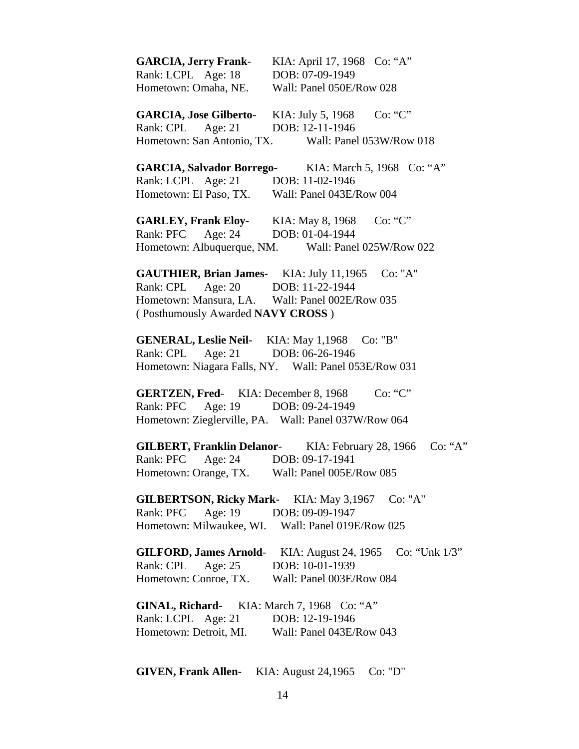**GARCIA, Jerry Frank**- KIA: April 17, 1968 Co: "A" Rank: LCPL Age: 18 DOB: 07-09-1949 Hometown: Omaha, NE. Wall: Panel 050E/Row 028 GARCIA, Jose Gilberto- KIA: July 5, 1968 Co: "C" Rank: CPL Age: 21 DOB: 12-11-1946 Hometown: San Antonio, TX. Wall: Panel 053W/Row 018 **GARCIA, Salvador Borrego**- KIA: March 5, 1968 Co: "A" Rank: LCPL Age: 21 DOB: 11-02-1946 Hometown: El Paso, TX. Wall: Panel 043E/Row 004 **GARLEY, Frank Eloy**- KIA: May 8, 1968 Co: "C" Rank: PFC Age: 24 DOB: 01-04-1944 Hometown: Albuquerque, NM. Wall: Panel 025W/Row 022 **GAUTHIER, Brian James-** KIA: July 11,1965 Co: "A" Rank: CPL Age: 20 DOB: 11-22-1944 Hometown: Mansura, LA. Wall: Panel 002E/Row 035 ( Posthumously Awarded **NAVY CROSS** ) **GENERAL, Leslie Neil-** KIA: May 1,1968 Co: "B" Rank: CPL Age: 21 DOB: 06-26-1946 Hometown: Niagara Falls, NY. Wall: Panel 053E/Row 031 **GERTZEN, Fred-** KIA: December 8, 1968 Co: "C" Rank: PFC Age: 19 DOB: 09-24-1949 Hometown: Zieglerville, PA. Wall: Panel 037W/Row 064 **GILBERT, Franklin Delanor**- KIA: February 28, 1966 Co: "A" Rank: PFC Age: 24 DOB: 09-17-1941 Hometown: Orange, TX. Wall: Panel 005E/Row 085

**GILBERTSON, Ricky Mark-** KIA: May 3,1967 Co: "A" Rank: PFC Age: 19 DOB: 09-09-1947 Hometown: Milwaukee, WI. Wall: Panel 019E/Row 025

 **GILFORD, James Arnold**- KIA: August 24, 1965 Co: "Unk 1/3" Rank: CPL Age: 25 DOB: 10-01-1939 Hometown: Conroe, TX. Wall: Panel 003E/Row 084

 **GINAL, Richard**- KIA: March 7, 1968 Co: "A" Rank: LCPL Age: 21 DOB: 12-19-1946 Hometown: Detroit, MI. Wall: Panel 043E/Row 043

**GIVEN, Frank Allen-** KIA: August 24,1965 Co: "D"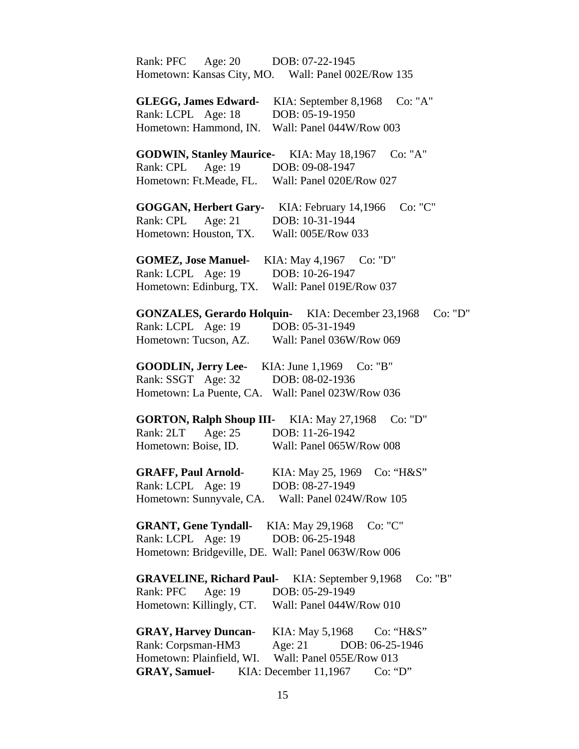| Rank: PFC<br>Age: $20$<br>DOB: 07-22-1945                           |
|---------------------------------------------------------------------|
| Hometown: Kansas City, MO. Wall: Panel 002E/Row 135                 |
| <b>GLEGG, James Edward-</b><br>Co: "A"<br>KIA: September 8,1968     |
| Rank: LCPL Age: 18<br>DOB: 05-19-1950                               |
| Hometown: Hammond, IN.<br>Wall: Panel 044W/Row 003                  |
|                                                                     |
| <b>GODWIN, Stanley Maurice-</b><br>Co: "A"<br>KIA: May 18,1967      |
| Rank: CPL<br>Age: 19<br>DOB: 09-08-1947                             |
| Hometown: Ft.Meade, FL.<br>Wall: Panel 020E/Row 027                 |
| <b>GOGGAN, Herbert Gary-</b><br>Co: "C"<br>KIA: February 14,1966    |
| DOB: 10-31-1944<br>Rank: CPL<br>Age: $21$                           |
| Wall: 005E/Row 033<br>Hometown: Houston, TX.                        |
| <b>GOMEZ, Jose Manuel-</b><br>KIA: May 4,1967<br>Co: "D"            |
| Rank: LCPL Age: 19<br>DOB: 10-26-1947                               |
| Hometown: Edinburg, TX.<br>Wall: Panel 019E/Row 037                 |
|                                                                     |
| <b>GONZALES, Gerardo Holquin-</b> KIA: December 23,1968<br>Co: "D"  |
| Rank: LCPL Age: 19<br>DOB: 05-31-1949                               |
| Hometown: Tucson, AZ.<br>Wall: Panel 036W/Row 069                   |
| <b>GOODLIN, Jerry Lee-</b><br>KIA: June 1,1969 Co: "B"              |
| Rank: SSGT Age: 32<br>DOB: 08-02-1936                               |
| Hometown: La Puente, CA. Wall: Panel 023W/Row 036                   |
| <b>GORTON, Ralph Shoup III-</b><br>Co: "D"<br>KIA: May 27,1968      |
| Rank: 2LT<br>Age: $25$<br>DOB: 11-26-1942                           |
| Hometown: Boise, ID.<br>Wall: Panel 065W/Row 008                    |
|                                                                     |
| <b>GRAFF, Paul Arnold-</b><br>KIA: May 25, 1969<br>Co: "H&S"        |
| Rank: LCPL Age: 19<br>DOB: 08-27-1949                               |
| Hometown: Sunnyvale, CA. Wall: Panel 024W/Row 105                   |
| Co: "C"<br><b>GRANT, Gene Tyndall-</b><br>KIA: May 29,1968          |
| Rank: LCPL Age: 19<br>DOB: 06-25-1948                               |
| Hometown: Bridgeville, DE. Wall: Panel 063W/Row 006                 |
|                                                                     |
| Co: "B"<br><b>GRAVELINE, Richard Paul-</b><br>KIA: September 9,1968 |
| Age: $19$<br>DOB: 05-29-1949<br>Rank: PFC                           |
| Hometown: Killingly, CT.<br>Wall: Panel 044W/Row 010                |
| <b>GRAY, Harvey Duncan-</b><br>KIA: May 5,1968<br>$Co: "H\&S"$      |
| Rank: Corpsman-HM3<br>Age: $21$<br>DOB: 06-25-1946                  |
| Hometown: Plainfield, WI.<br>Wall: Panel 055E/Row 013               |
| <b>GRAY, Samuel-</b> KIA: December 11,1967<br>Co: "D"               |
|                                                                     |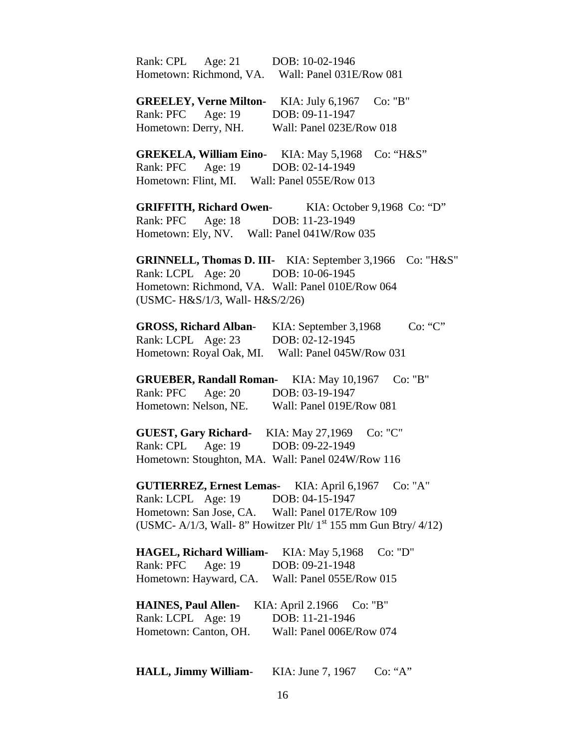| Rank: CPL Age: 21 DOB: 10-02-1946<br>Hometown: Richmond, VA. Wall: Panel 031E/Row 081                                                                                                                                    |  |
|--------------------------------------------------------------------------------------------------------------------------------------------------------------------------------------------------------------------------|--|
| <b>GREELEY, Verne Milton-</b> KIA: July 6,1967 Co: "B"<br>Rank: PFC Age: 19 DOB: 09-11-1947<br>Hometown: Derry, NH.<br>Wall: Panel 023E/Row 018                                                                          |  |
| <b>GREKELA, William Eino-</b> KIA: May 5,1968<br>Co: "H&S"<br>Age: 19 DOB: 02-14-1949<br>Rank: PFC<br>Hometown: Flint, MI. Wall: Panel 055E/Row 013                                                                      |  |
| <b>GRIFFITH, Richard Owen-</b> KIA: October 9,1968 Co: "D"<br>Rank: PFC Age: 18 DOB: 11-23-1949<br>Hometown: Ely, NV. Wall: Panel 041W/Row 035                                                                           |  |
| <b>GRINNELL, Thomas D. III-</b> KIA: September 3,1966 Co: "H&S"<br>Rank: LCPL Age: 20 DOB: 10-06-1945<br>Hometown: Richmond, VA. Wall: Panel 010E/Row 064<br>(USMC- H&S/1/3, Wall- H&S/2/26)                             |  |
| <b>GROSS, Richard Alban-</b> KIA: September 3,1968<br>Co: "C"<br>Rank: LCPL Age: 23 DOB: 02-12-1945<br>Hometown: Royal Oak, MI. Wall: Panel 045W/Row 031                                                                 |  |
| <b>GRUEBER, Randall Roman-</b><br>KIA: May 10,1967<br>Co: "B"<br>Age: 20 DOB: 03-19-1947<br>Rank: PFC<br>Hometown: Nelson, NE. Wall: Panel 019E/Row 081                                                                  |  |
| <b>GUEST, Gary Richard-</b> KIA: May 27,1969<br>Co: "C"<br>Rank: CPL Age: 19 DOB: 09-22-1949<br>Hometown: Stoughton, MA. Wall: Panel 024W/Row 116                                                                        |  |
| <b>GUTIERREZ, Ernest Lemas-</b> KIA: April 6,1967 Co: "A"<br>Rank: LCPL Age: 19 DOB: 04-15-1947<br>Hometown: San Jose, CA. Wall: Panel 017E/Row 109<br>(USMC- A/1/3, Wall- 8" Howitzer Plt/ $1st$ 155 mm Gun Btry/ 4/12) |  |
| <b>HAGEL, Richard William-</b><br>KIA: May 5,1968<br>Co: "D"<br>Rank: PFC Age: 19<br>DOB: 09-21-1948<br>Hometown: Hayward, CA.<br>Wall: Panel 055E/Row 015                                                               |  |
| <b>HAINES, Paul Allen-</b><br>KIA: April 2.1966<br>Co: "B"<br>Rank: LCPL Age: 19<br>DOB: 11-21-1946<br>Hometown: Canton, OH.<br>Wall: Panel 006E/Row 074                                                                 |  |
|                                                                                                                                                                                                                          |  |

**HALL, Jimmy William**- KIA: June 7, 1967 Co: "A"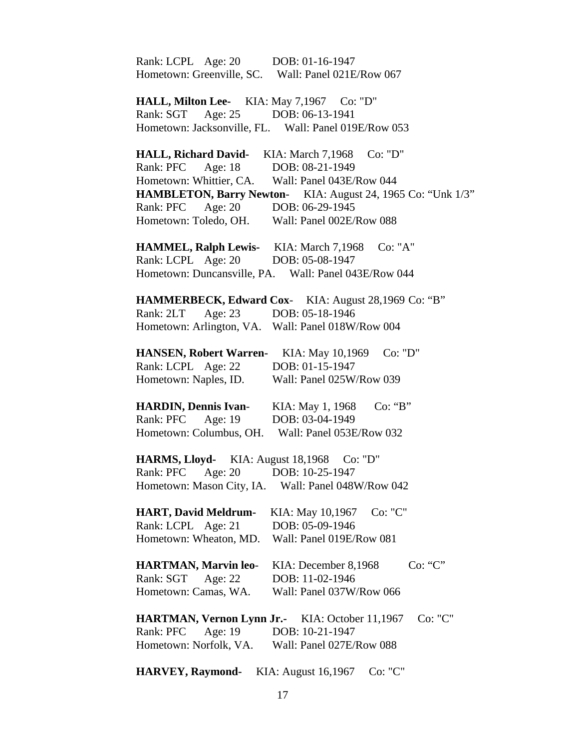| Rank: LCPL Age: 20                            | DOB: 01-16-1947                                             |
|-----------------------------------------------|-------------------------------------------------------------|
|                                               | Hometown: Greenville, SC. Wall: Panel 021E/Row 067          |
|                                               | HALL, Milton Lee- KIA: May 7,1967 Co: "D"                   |
| Age: 25<br>Rank: SGT                          | DOB: 06-13-1941                                             |
|                                               | Hometown: Jacksonville, FL. Wall: Panel 019E/Row 053        |
|                                               |                                                             |
| <b>HALL, Richard David-</b>                   | KIA: March 7,1968<br>Co: "D"                                |
| Rank: PFC Age: 18                             | DOB: 08-21-1949                                             |
|                                               | Hometown: Whittier, CA. Wall: Panel 043E/Row 044            |
|                                               | HAMBLETON, Barry Newton- KIA: August 24, 1965 Co: "Unk 1/3" |
| Rank: PFC Age: 20                             | DOB: 06-29-1945                                             |
| Hometown: Toledo, OH.                         | Wall: Panel 002E/Row 088                                    |
| <b>HAMMEL, Ralph Lewis-</b> KIA: March 7,1968 | Co: "A"                                                     |
| Rank: LCPL Age: 20                            | DOB: 05-08-1947                                             |
|                                               | Hometown: Duncansville, PA. Wall: Panel 043E/Row 044        |
|                                               |                                                             |
|                                               | HAMMERBECK, Edward Cox- KIA: August 28,1969 Co: "B"         |
| Rank: 2LT                                     | Age: 23 DOB: 05-18-1946                                     |
|                                               | Hometown: Arlington, VA. Wall: Panel 018W/Row 004           |
|                                               |                                                             |
| <b>HANSEN, Robert Warren-</b>                 | KIA: May 10,1969<br>Co: "D"                                 |
| Rank: LCPL Age: 22                            | DOB: 01-15-1947                                             |
| Hometown: Naples, ID.                         | Wall: Panel 025W/Row 039                                    |
| <b>HARDIN, Dennis Ivan-</b>                   | Co: "B"<br>KIA: May 1, 1968                                 |
| Rank: PFC<br>Age: 19                          | DOB: 03-04-1949                                             |
|                                               | Hometown: Columbus, OH. Wall: Panel 053E/Row 032            |
|                                               |                                                             |
| <b>HARMS, Lloyd-</b> KIA: August 18,1968      | Co: "D"                                                     |
| Age: $20$<br>Rank: PFC                        | DOB: 10-25-1947                                             |
| Hometown: Mason City, IA.                     | Wall: Panel 048W/Row 042                                    |
| <b>HART, David Meldrum-</b>                   | Co: "C"<br>KIA: May 10,1967                                 |
| Rank: LCPL Age: 21                            | DOB: 05-09-1946                                             |
| Hometown: Wheaton, MD.                        | Wall: Panel 019E/Row 081                                    |
|                                               |                                                             |
| <b>HARTMAN, Marvin leo-</b>                   | Co: "C"<br>KIA: December 8,1968                             |
| Rank: SGT<br>Age: 22                          | DOB: 11-02-1946                                             |
| Hometown: Camas, WA.                          | Wall: Panel 037W/Row 066                                    |
|                                               | Co: "C"<br>HARTMAN, Vernon Lynn Jr.- KIA: October 11,1967   |
| Rank: PFC<br>Age: 19                          | DOB: 10-21-1947                                             |
| Hometown: Norfolk, VA.                        | Wall: Panel 027E/Row 088                                    |
|                                               |                                                             |
| <b>HARVEY, Raymond-</b>                       | Co: "C"<br>KIA: August 16,1967                              |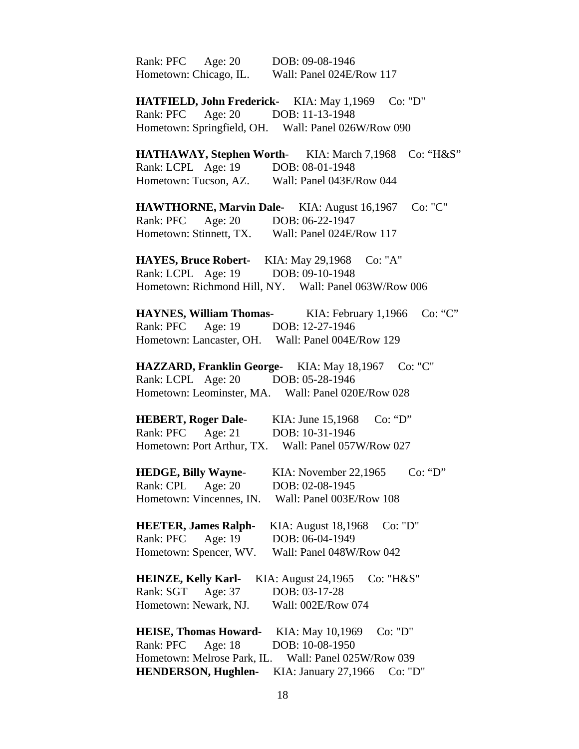| Rank: PFC Age: 20 DOB: 09-08-1946                     |                                  |
|-------------------------------------------------------|----------------------------------|
| Hometown: Chicago, IL.                                | Wall: Panel 024E/Row 117         |
|                                                       |                                  |
| HATFIELD, John Frederick- KIA: May 1,1969 Co: "D"     |                                  |
| Rank: PFC Age: 20 DOB: 11-13-1948                     |                                  |
| Hometown: Springfield, OH. Wall: Panel 026W/Row 090   |                                  |
| <b>HATHAWAY, Stephen Worth-</b> KIA: March 7,1968     | Co: "H&S"                        |
| Rank: LCPL Age: 19 DOB: 08-01-1948                    |                                  |
| Hometown: Tucson, AZ. Wall: Panel 043E/Row 044        |                                  |
|                                                       |                                  |
| <b>HAWTHORNE, Marvin Dale-</b> KIA: August 16,1967    | Co: "C"                          |
| Rank: PFC Age: 20 DOB: 06-22-1947                     |                                  |
| Hometown: Stinnett, TX. Wall: Panel 024E/Row 117      |                                  |
| HAYES, Bruce Robert- KIA: May 29,1968 Co: "A"         |                                  |
| Rank: LCPL Age: 19 DOB: 09-10-1948                    |                                  |
| Hometown: Richmond Hill, NY. Wall: Panel 063W/Row 006 |                                  |
| <b>HAYNES, William Thomas-</b> KIA: February 1,1966   | Co: "C"                          |
| Rank: PFC Age: 19 DOB: 12-27-1946                     |                                  |
| Hometown: Lancaster, OH. Wall: Panel 004E/Row 129     |                                  |
|                                                       |                                  |
| <b>HAZZARD, Franklin George-</b> KIA: May 18,1967     | Co: "C"                          |
| Rank: LCPL Age: 20 DOB: 05-28-1946                    |                                  |
| Hometown: Leominster, MA. Wall: Panel 020E/Row 028    |                                  |
| HEBERT, Roger Dale-<br>KIA: June 15,1968              | Co: "D"                          |
| Rank: PFC Age: 21 DOB: 10-31-1946                     |                                  |
| Hometown: Port Arthur, TX. Wall: Panel 057W/Row 027   |                                  |
| <b>HEDGE, Billy Wayne-</b>                            | Co: "D"<br>KIA: November 22,1965 |
| Rank: CPL<br>DOB: 02-08-1945<br>Age: $20$             |                                  |
| Hometown: Vincennes, IN.                              | Wall: Panel 003E/Row 108         |
|                                                       |                                  |
| <b>HEETER, James Ralph-</b>                           | Co: "D"<br>KIA: August 18,1968   |
| DOB: 06-04-1949<br>Rank: PFC<br>Age: 19               |                                  |
| Hometown: Spencer, WV.                                | Wall: Panel 048W/Row 042         |
| <b>HEINZE, Kelly Karl-</b><br>KIA: August 24,1965     | Co: "H&S"                        |
| Age: 37<br>DOB: 03-17-28<br>Rank: SGT                 |                                  |
| Hometown: Newark, NJ.                                 | Wall: 002E/Row 074               |
|                                                       |                                  |
| <b>HEISE, Thomas Howard-</b>                          | KIA: May 10,1969<br>Co: "D"      |
| DOB: 10-08-1950<br>Rank: PFC<br>Age: 18               |                                  |
| Hometown: Melrose Park, IL.                           | Wall: Panel 025W/Row 039         |
| <b>HENDERSON, Hughlen-</b>                            | KIA: January 27,1966<br>Co: "D"  |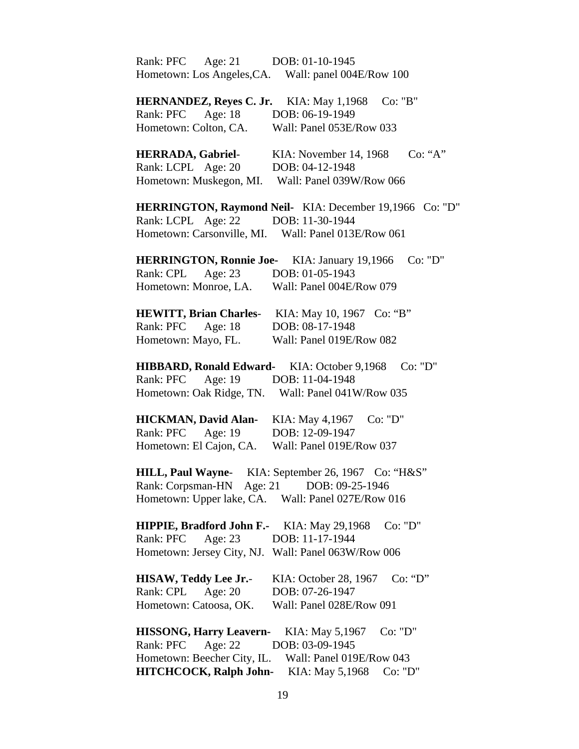| Rank: PFC Age: 21                           | DOB: 01-10-1945                                                |
|---------------------------------------------|----------------------------------------------------------------|
| Hometown: Los Angeles, CA.                  | Wall: panel 004E/Row 100                                       |
|                                             |                                                                |
| <b>HERNANDEZ, Reyes C. Jr.</b>              | KIA: May 1,1968<br>Co: "B"                                     |
| Rank: PFC Age: 18                           | DOB: 06-19-1949                                                |
| Hometown: Colton, CA.                       | Wall: Panel 053E/Row 033                                       |
| <b>HERRADA, Gabriel-</b>                    | Co: "A"<br>KIA: November 14, 1968                              |
| Rank: LCPL Age: 20                          | DOB: 04-12-1948                                                |
|                                             | Hometown: Muskegon, MI. Wall: Panel 039W/Row 066               |
|                                             | <b>HERRINGTON, Raymond Neil-</b> KIA: December 19,1966 Co: "D" |
| Rank: LCPL Age: 22 DOB: 11-30-1944          |                                                                |
|                                             | Hometown: Carsonville, MI. Wall: Panel 013E/Row 061            |
|                                             | <b>HERRINGTON, Ronnie Joe-</b> KIA: January 19,1966<br>Co: "D" |
| Rank: CPL Age: 23                           | DOB: 01-05-1943                                                |
| Hometown: Monroe, LA.                       | Wall: Panel 004E/Row 079                                       |
|                                             | HEWITT, Brian Charles- KIA: May 10, 1967 Co: "B"               |
| Age: 18<br>Rank: PFC                        | DOB: 08-17-1948                                                |
| Hometown: Mayo, FL.                         | Wall: Panel 019E/Row 082                                       |
| HIBBARD, Ronald Edward- KIA: October 9,1968 | Co: "D"                                                        |
| Rank: PFC<br>Age: $19$                      | DOB: 11-04-1948                                                |
| Hometown: Oak Ridge, TN.                    | Wall: Panel 041W/Row 035                                       |
| <b>HICKMAN, David Alan-</b>                 | KIA: May 4,1967<br>Co: "D"                                     |
| Rank: PFC Age: 19                           | DOB: 12-09-1947                                                |
| Hometown: El Cajon, CA.                     | Wall: Panel 019E/Row 037                                       |
| <b>HILL, Paul Wayne-</b>                    | KIA: September 26, 1967<br>Co: "H&S"                           |
| Rank: Corpsman-HN Age: 21 DOB: 09-25-1946   |                                                                |
|                                             | Hometown: Upper lake, CA. Wall: Panel 027E/Row 016             |
| <b>HIPPIE, Bradford John F.-</b>            | Co: "D"<br>KIA: May 29,1968                                    |
| Rank: PFC<br>Age: $23$                      | DOB: 11-17-1944                                                |
|                                             | Hometown: Jersey City, NJ. Wall: Panel 063W/Row 006            |
| <b>HISAW, Teddy Lee Jr.-</b>                | KIA: October 28, 1967<br>Co: "D"                               |
| Rank: CPL<br>Age: $20$                      | DOB: 07-26-1947                                                |
| Hometown: Catoosa, OK.                      | Wall: Panel 028E/Row 091                                       |
| <b>HISSONG, Harry Leavern-</b>              | Co: "D"<br>KIA: May 5,1967                                     |
| Rank: PFC<br>Age: $22$                      | DOB: 03-09-1945                                                |
| Hometown: Beecher City, IL.                 | Wall: Panel 019E/Row 043                                       |
| <b>HITCHCOCK, Ralph John-</b>               | KIA: May 5,1968<br>Co: "D"                                     |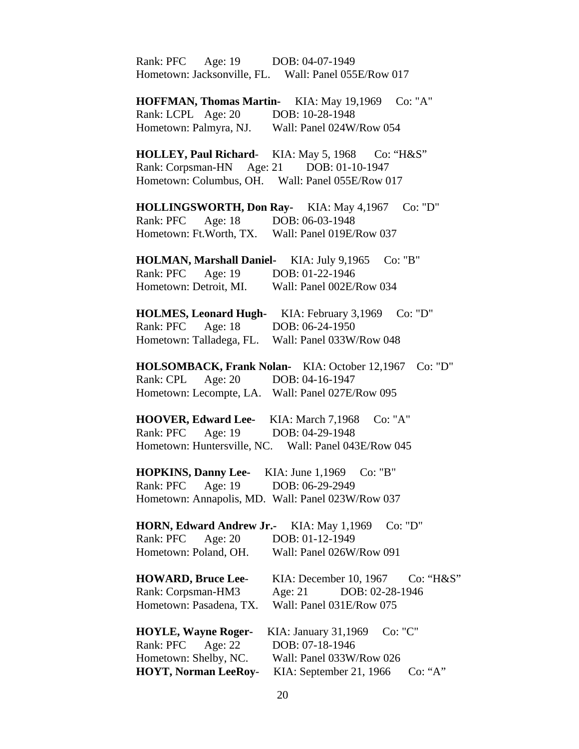Rank: PFC Age: 19 DOB: 04-07-1949 Hometown: Jacksonville, FL. Wall: Panel 055E/Row 017 **HOFFMAN, Thomas Martin-** KIA: May 19,1969 Co: "A" Rank: LCPL Age: 20 DOB: 10-28-1948 Hometown: Palmyra, NJ. Wall: Panel 024W/Row 054 **HOLLEY, Paul Richard-** KIA: May 5, 1968 Co: "H&S" Rank: Corpsman-HN Age: 21 DOB: 01-10-1947 Hometown: Columbus, OH. Wall: Panel 055E/Row 017 **HOLLINGSWORTH, Don Ray-** KIA: May 4,1967 Co: "D" Rank: PFC Age: 18 DOB: 06-03-1948 Hometown: Ft.Worth, TX. Wall: Panel 019E/Row 037 **HOLMAN, Marshall Daniel-** KIA: July 9,1965 Co: "B" Rank: PFC Age: 19 DOB: 01-22-1946 Hometown: Detroit, MI. Wall: Panel 002E/Row 034 **HOLMES, Leonard Hugh-** KIA: February 3,1969 Co: "D" Rank: PFC Age: 18 DOB: 06-24-1950 Hometown: Talladega, FL. Wall: Panel 033W/Row 048 **HOLSOMBACK, Frank Nolan-** KIA: October 12,1967 Co: "D" Rank: CPL Age: 20 DOB: 04-16-1947 Hometown: Lecompte, LA. Wall: Panel 027E/Row 095 **HOOVER, Edward Lee-** KIA: March 7,1968 Co: "A" Rank: PFC Age: 19 DOB: 04-29-1948 Hometown: Huntersville, NC. Wall: Panel 043E/Row 045 **HOPKINS, Danny Lee-** KIA: June 1,1969 Co: "B" Rank: PFC Age: 19 DOB: 06-29-2949 Hometown: Annapolis, MD. Wall: Panel 023W/Row 037 **HORN, Edward Andrew Jr.-** KIA: May 1,1969 Co: "D" Rank: PFC Age: 20 DOB: 01-12-1949 Hometown: Poland, OH. Wall: Panel 026W/Row 091 **HOWARD, Bruce Lee**- KIA: December 10, 1967 Co: "H&S" Rank: Corpsman-HM3 Age: 21 DOB: 02-28-1946 Hometown: Pasadena, TX. Wall: Panel 031E/Row 075 **HOYLE, Wayne Roger-** KIA: January 31,1969 Co: "C" Rank: PFC Age: 22 DOB: 07-18-1946 Hometown: Shelby, NC. Wall: Panel 033W/Row 026 **HOYT, Norman LeeRoy**- KIA: September 21, 1966 Co: "A"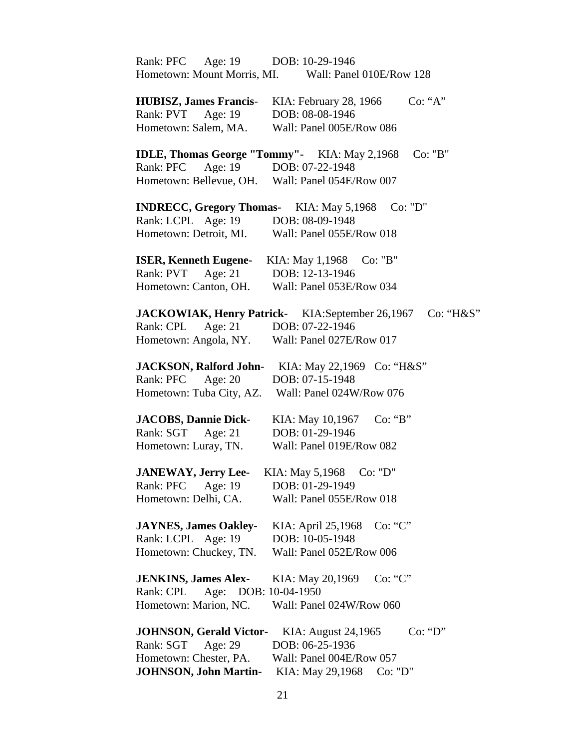| Age: 19<br>Rank: PFC                                | DOB: 10-29-1946                                                     |
|-----------------------------------------------------|---------------------------------------------------------------------|
| Hometown: Mount Morris, MI.                         | Wall: Panel 010E/Row 128                                            |
|                                                     |                                                                     |
| <b>HUBISZ, James Francis-</b>                       | Co: "A"<br>KIA: February 28, 1966                                   |
| Age: 19<br>Rank: PVT                                | DOB: 08-08-1946                                                     |
| Hometown: Salem, MA.                                | Wall: Panel 005E/Row 086                                            |
|                                                     |                                                                     |
| <b>IDLE, Thomas George "Tommy"-</b> KIA: May 2,1968 | Co: "B"                                                             |
| Rank: PFC Age: 19 DOB: 07-22-1948                   |                                                                     |
| Hometown: Bellevue, OH.                             | Wall: Panel 054E/Row 007                                            |
|                                                     |                                                                     |
| <b>INDRECC, Gregory Thomas-</b> KIA: May 5,1968     | Co: "D"                                                             |
| Rank: LCPL Age: 19                                  | DOB: 08-09-1948                                                     |
| Hometown: Detroit, MI.                              | Wall: Panel 055E/Row 018                                            |
| <b>ISER, Kenneth Eugene-</b>                        | KIA: May 1,1968<br>Co: "B"                                          |
| Rank: PVT Age: 21                                   | DOB: 12-13-1946                                                     |
| Hometown: Canton, OH.                               | Wall: Panel 053E/Row 034                                            |
|                                                     |                                                                     |
|                                                     | <b>JACKOWIAK, Henry Patrick-</b> KIA:September 26,1967<br>Co: "H&S" |
| Rank: CPL<br>Age: $21$                              | DOB: 07-22-1946                                                     |
| Hometown: Angola, NY.                               | Wall: Panel 027E/Row 017                                            |
|                                                     |                                                                     |
|                                                     | <b>JACKSON, Ralford John-</b> KIA: May 22,1969 Co: "H&S"            |
| Rank: PFC<br>Age: 20                                | DOB: 07-15-1948                                                     |
| Hometown: Tuba City, AZ.                            | Wall: Panel 024W/Row 076                                            |
|                                                     |                                                                     |
| <b>JACOBS, Dannie Dick-</b>                         | KIA: May 10,1967<br>Co: 'B'                                         |
| Rank: SGT Age: 21                                   | DOB: 01-29-1946                                                     |
| Hometown: Luray, TN.                                | Wall: Panel 019E/Row 082                                            |
|                                                     |                                                                     |
| <b>JANEWAY, Jerry Lee-</b>                          | KIA: May 5,1968<br>Co: "D"                                          |
| Rank: PFC<br>Age: 19                                | DOB: 01-29-1949                                                     |
| Hometown: Delhi, CA.                                | Wall: Panel 055E/Row 018                                            |
|                                                     |                                                                     |
| <b>JAYNES, James Oakley-</b>                        | Co: "C"<br>KIA: April 25,1968                                       |
| Rank: LCPL Age: 19                                  | DOB: 10-05-1948                                                     |
| Hometown: Chuckey, TN.                              | Wall: Panel 052E/Row 006                                            |
| <b>JENKINS, James Alex-</b>                         | Co: "C"<br>KIA: May 20,1969                                         |
| Age: DOB: 10-04-1950<br>Rank: CPL                   |                                                                     |
| Hometown: Marion, NC.                               | Wall: Panel 024W/Row 060                                            |
|                                                     |                                                                     |
| <b>JOHNSON, Gerald Victor-</b>                      | Co: "D"<br>KIA: August 24,1965                                      |
| Rank: SGT<br>Age: 29                                | DOB: 06-25-1936                                                     |
| Hometown: Chester, PA.                              | Wall: Panel 004E/Row 057                                            |
| <b>JOHNSON, John Martin-</b>                        | KIA: May 29,1968<br>Co: "D"                                         |
|                                                     |                                                                     |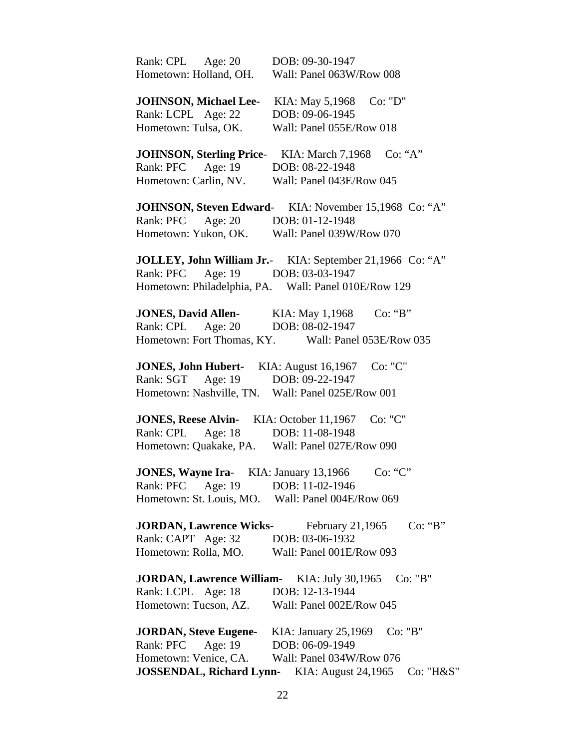| Rank: CPL<br>Age: $20$           | DOB: 09-30-1947                                              |
|----------------------------------|--------------------------------------------------------------|
| Hometown: Holland, OH.           | Wall: Panel 063W/Row 008                                     |
|                                  |                                                              |
| <b>JOHNSON, Michael Lee-</b>     | Co: "D"<br>KIA: May 5,1968                                   |
| Rank: LCPL Age: 22               | DOB: 09-06-1945                                              |
| Hometown: Tulsa, OK.             | Wall: Panel 055E/Row 018                                     |
|                                  |                                                              |
| <b>JOHNSON, Sterling Price-</b>  | Co: 'A"<br>KIA: March 7,1968                                 |
| Rank: PFC<br>Age: $19$           | DOB: 08-22-1948                                              |
| Hometown: Carlin, NV.            | Wall: Panel 043E/Row 045                                     |
|                                  |                                                              |
|                                  | <b>JOHNSON, Steven Edward-</b> KIA: November 15,1968 Co: "A" |
| Age: $20$<br>Rank: PFC           | DOB: 01-12-1948                                              |
| Hometown: Yukon, OK.             | Wall: Panel 039W/Row 070                                     |
|                                  | JOLLEY, John William Jr.- KIA: September 21,1966 Co: "A"     |
| Age: 19<br>Rank: PFC             | DOB: 03-03-1947                                              |
|                                  |                                                              |
|                                  | Hometown: Philadelphia, PA. Wall: Panel 010E/Row 129         |
| <b>JONES, David Allen-</b>       | KIA: May 1,1968<br>Co: 'B'                                   |
| Rank: CPL<br>Age: $20$           | DOB: 08-02-1947                                              |
|                                  | Hometown: Fort Thomas, KY. Wall: Panel 053E/Row 035          |
|                                  |                                                              |
| <b>JONES, John Hubert-</b>       | Co: "C"<br>KIA: August 16,1967                               |
| Rank: SGT Age: 19                | DOB: 09-22-1947                                              |
| Hometown: Nashville, TN.         | Wall: Panel 025E/Row 001                                     |
|                                  |                                                              |
| <b>JONES, Reese Alvin-</b>       | KIA: October 11,1967<br>Co: "C"                              |
| Rank: CPL Age: 18                | DOB: 11-08-1948                                              |
| Hometown: Quakake, PA.           | Wall: Panel 027E/Row 090                                     |
|                                  |                                                              |
| <b>JONES, Wayne Ira-</b>         | KIA: January 13,1966<br>Co: "C"                              |
| Rank: PFC<br>Age: 19             | DOB: 11-02-1946                                              |
| Hometown: St. Louis, MO.         | Wall: Panel 004E/Row 069                                     |
|                                  |                                                              |
| <b>JORDAN, Lawrence Wicks-</b>   | Co: "B"<br>February 21,1965                                  |
| Rank: CAPT Age: 32               | DOB: 03-06-1932                                              |
| Hometown: Rolla, MO.             | Wall: Panel 001E/Row 093                                     |
|                                  |                                                              |
| <b>JORDAN, Lawrence William-</b> | Co: "B"<br>KIA: July 30,1965                                 |
| Rank: LCPL Age: 18               | DOB: 12-13-1944                                              |
| Hometown: Tucson, AZ.            | Wall: Panel 002E/Row 045                                     |
| <b>JORDAN, Steve Eugene-</b>     | Co: "B"                                                      |
| Rank: PFC<br>Age: 19             | KIA: January 25,1969<br>DOB: 06-09-1949                      |
|                                  |                                                              |
| Hometown: Venice, CA.            | Wall: Panel 034W/Row 076                                     |
| <b>JOSSENDAL, Richard Lynn-</b>  | KIA: August 24,1965<br>Co: "H&S"                             |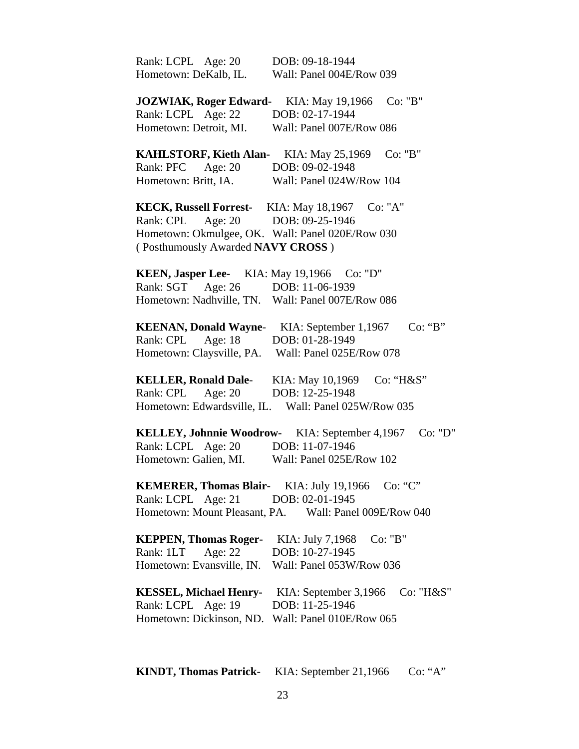| Rank: LCPL Age: 20                                 | DOB: 09-18-1944                                        |
|----------------------------------------------------|--------------------------------------------------------|
| Hometown: DeKalb, IL.                              | Wall: Panel 004E/Row 039                               |
| <b>JOZWIAK, Roger Edward-</b>                      | Co: "B"<br>KIA: May 19,1966                            |
| Rank: LCPL Age: 22                                 | DOB: 02-17-1944                                        |
| Hometown: Detroit, MI.                             | Wall: Panel 007E/Row 086                               |
| <b>KAHLSTORF, Kieth Alan-</b>                      | Co: "B"<br>KIA: May 25,1969                            |
| Rank: PFC<br>Age: $20$                             | DOB: 09-02-1948                                        |
| Hometown: Britt, IA.                               | Wall: Panel 024W/Row 104                               |
|                                                    | <b>KECK, Russell Forrest-</b> KIA: May 18,1967 Co: "A" |
| Age: $20$<br>Rank: CPL                             | DOB: 09-25-1946                                        |
| Hometown: Okmulgee, OK. Wall: Panel 020E/Row 030   |                                                        |
| (Posthumously Awarded NAVY CROSS)                  |                                                        |
| <b>KEEN, Jasper Lee-</b> KIA: May 19,1966 Co: "D"  |                                                        |
| Rank: SGT Age: 26 DOB: 11-06-1939                  |                                                        |
| Hometown: Nadhville, TN. Wall: Panel 007E/Row 086  |                                                        |
| <b>KEENAN, Donald Wayne-</b>                       | Co: "B"<br>KIA: September 1,1967                       |
| Age: 18<br>Rank: CPL                               | DOB: 01-28-1949                                        |
| Hometown: Claysville, PA. Wall: Panel 025E/Row 078 |                                                        |
| <b>KELLER, Ronald Dale-</b>                        | Co: "H&S"<br>KIA: May 10,1969                          |
| Rank: CPL<br>Age: $20$                             | DOB: 12-25-1948                                        |
| Hometown: Edwardsville, IL.                        | Wall: Panel 025W/Row 035                               |
| <b>KELLEY, Johnnie Woodrow-</b>                    | Co: "D"<br>KIA: September 4,1967                       |
| Rank: LCPL Age: 20                                 | DOB: 11-07-1946                                        |
| Hometown: Galien, MI.                              | Wall: Panel 025E/Row 102                               |
| <b>KEMERER, Thomas Blair-</b> KIA: July 19,1966    | Co: "C"                                                |
| Rank: LCPL Age: 21                                 | DOB: 02-01-1945                                        |
|                                                    | Hometown: Mount Pleasant, PA. Wall: Panel 009E/Row 040 |
| <b>KEPPEN, Thomas Roger-</b>                       | KIA: July 7,1968<br>Co: "B"                            |
| Age: 22<br>Rank: 1LT                               | DOB: 10-27-1945                                        |
| Hometown: Evansville, IN.                          | Wall: Panel 053W/Row 036                               |
| <b>KESSEL, Michael Henry-</b>                      | KIA: September 3,1966<br>Co: "H&S"                     |
| Rank: LCPL Age: 19                                 | DOB: 11-25-1946                                        |
| Hometown: Dickinson, ND.                           | Wall: Panel 010E/Row 065                               |
|                                                    |                                                        |

**KINDT, Thomas Patrick**- KIA: September 21,1966 Co: "A"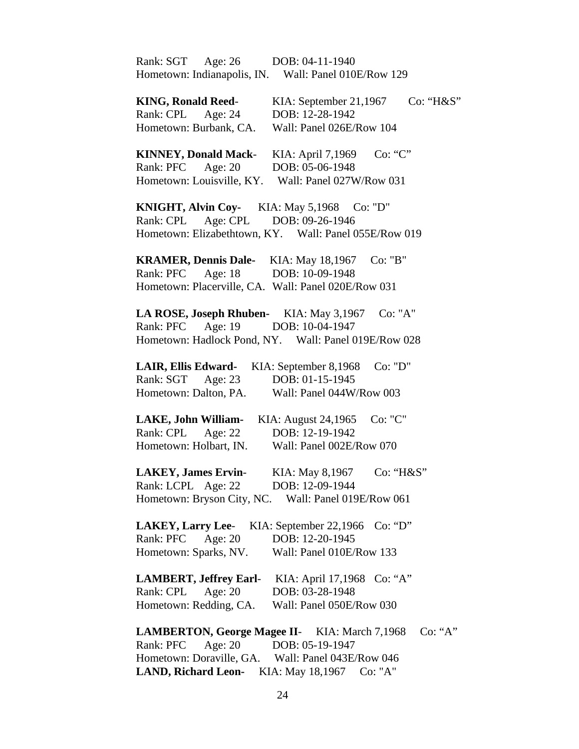Rank: SGT Age: 26 DOB: 04-11-1940 Hometown: Indianapolis, IN. Wall: Panel 010E/Row 129

**KING, Ronald Reed-** KIA: September 21,1967 Co: "H&S" Rank: CPL Age: 24 DOB: 12-28-1942 Hometown: Burbank, CA. Wall: Panel 026E/Row 104 **KINNEY, Donald Mack**- KIA: April 7,1969 Co: "C" Rank: PFC Age: 20 DOB: 05-06-1948 Hometown: Louisville, KY. Wall: Panel 027W/Row 031 **KNIGHT, Alvin Coy-** KIA: May 5,1968 Co: "D" Rank: CPL Age: CPL DOB: 09-26-1946 Hometown: Elizabethtown, KY. Wall: Panel 055E/Row 019 **KRAMER, Dennis Dale-** KIA: May 18,1967 Co: "B" Rank: PFC Age: 18 DOB: 10-09-1948 Hometown: Placerville, CA. Wall: Panel 020E/Row 031 **LA ROSE, Joseph Rhuben-** KIA: May 3,1967 Co: "A" Rank: PFC Age: 19 DOB: 10-04-1947 Hometown: Hadlock Pond, NY. Wall: Panel 019E/Row 028 **LAIR, Ellis Edward-** KIA: September 8,1968 Co: "D" Rank: SGT Age: 23 DOB: 01-15-1945 Hometown: Dalton, PA. Wall: Panel 044W/Row 003 **LAKE, John William-** KIA: August 24,1965 Co: "C" Rank: CPL Age: 22 DOB: 12-19-1942 Hometown: Holbart, IN. Wall: Panel 002E/Row 070 **LAKEY, James Ervin-** KIA: May 8,1967 Co: "H&S" Rank: LCPL Age: 22 DOB: 12-09-1944 Hometown: Bryson City, NC. Wall: Panel 019E/Row 061 **LAKEY, Larry Lee**- KIA: September 22,1966 Co: "D" Rank: PFC Age: 20 DOB: 12-20-1945 Hometown: Sparks, NV. Wall: Panel 010E/Row 133 **LAMBERT, Jeffrey Earl**- KIA: April 17,1968 Co: "A" Rank: CPL Age: 20 DOB: 03-28-1948 Hometown: Redding, CA. Wall: Panel 050E/Row 030 **LAMBERTON, George Magee II**- KIA: March 7,1968 Co: "A" Rank: PFC Age: 20 DOB: 05-19-1947 Hometown: Doraville, GA. Wall: Panel 043E/Row 046

24

**LAND, Richard Leon-** KIA: May 18,1967 Co: "A"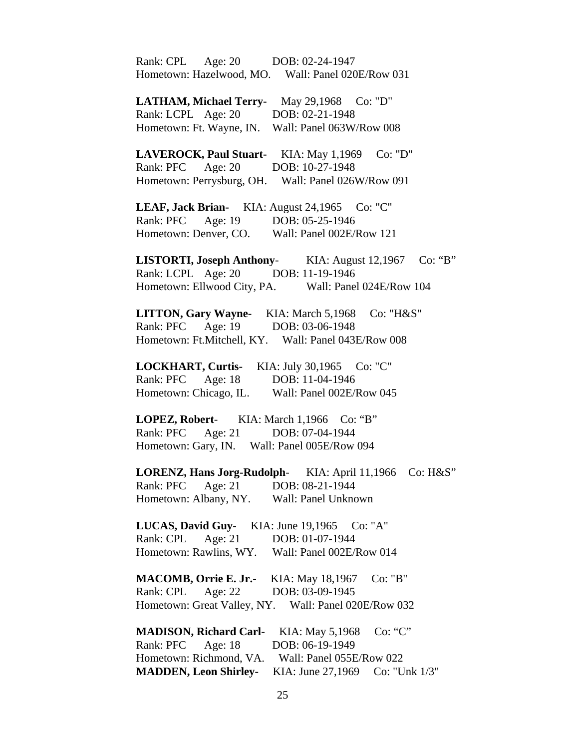| Age: 20 DOB: 02-24-1947<br>Rank: CPL<br>Hometown: Hazelwood, MO. Wall: Panel 020E/Row 031  |
|--------------------------------------------------------------------------------------------|
| LATHAM, Michael Terry- May 29,1968 Co: "D"                                                 |
| Rank: LCPL Age: 20 DOB: 02-21-1948                                                         |
| Hometown: Ft. Wayne, IN. Wall: Panel 063W/Row 008                                          |
|                                                                                            |
| LAVEROCK, Paul Stuart- KIA: May 1,1969 Co: "D"                                             |
| Rank: PFC Age: 20<br>DOB: 10-27-1948                                                       |
| Hometown: Perrysburg, OH.<br>Wall: Panel 026W/Row 091                                      |
| LEAF, Jack Brian- KIA: August 24,1965 Co: "C"                                              |
| Rank: PFC Age: 19 DOB: 05-25-1946                                                          |
| Hometown: Denver, CO. Wall: Panel 002E/Row 121                                             |
|                                                                                            |
| <b>LISTORTI, Joseph Anthony-</b> KIA: August 12,1967<br>Co: "B"                            |
| Rank: LCPL Age: 20 DOB: 11-19-1946<br>Hometown: Ellwood City, PA. Wall: Panel 024E/Row 104 |
|                                                                                            |
| LITTON, Gary Wayne- KIA: March 5,1968 Co: "H&S"                                            |
| Rank: PFC Age: 19 DOB: 03-06-1948                                                          |
| Hometown: Ft.Mitchell, KY. Wall: Panel 043E/Row 008                                        |
| LOCKHART, Curtis- KIA: July 30,1965 Co: "C"                                                |
| Rank: PFC Age: 18 DOB: 11-04-1946                                                          |
| Hometown: Chicago, IL.<br>Wall: Panel 002E/Row 045                                         |
|                                                                                            |
| LOPEZ, Robert- KIA: March 1,1966 Co: "B"                                                   |
| Rank: PFC Age: 21 DOB: 07-04-1944                                                          |
| Hometown: Gary, IN. Wall: Panel 005E/Row 094                                               |
|                                                                                            |
| <b>LORENZ, Hans Jorg-Rudolph-</b><br>KIA: April 11,1966<br>Co: H&S"                        |
| DOB: 08-21-1944<br>Rank: PFC<br>Age: $21$                                                  |
| Hometown: Albany, NY.<br>Wall: Panel Unknown                                               |
| LUCAS, David Guy-<br>KIA: June 19,1965<br>Co: "A"                                          |
| Age: 21<br>DOB: 01-07-1944<br>Rank: CPL                                                    |
| Hometown: Rawlins, WY.<br>Wall: Panel 002E/Row 014                                         |
|                                                                                            |
| <b>MACOMB, Orrie E. Jr.-</b><br>Co: "B"<br>KIA: May 18,1967                                |
| Rank: CPL<br>Age: $22$<br>DOB: 03-09-1945                                                  |
| Hometown: Great Valley, NY.<br>Wall: Panel 020E/Row 032                                    |
| <b>MADISON, Richard Carl-</b><br>KIA: May 5,1968<br>Co: "C"                                |
| DOB: 06-19-1949<br>Rank: PFC<br>Age: $18$                                                  |
| Hometown: Richmond, VA.<br>Wall: Panel 055E/Row 022                                        |
| <b>MADDEN, Leon Shirley-</b><br>KIA: June 27,1969<br>Co: "Unk $1/3$ "                      |
|                                                                                            |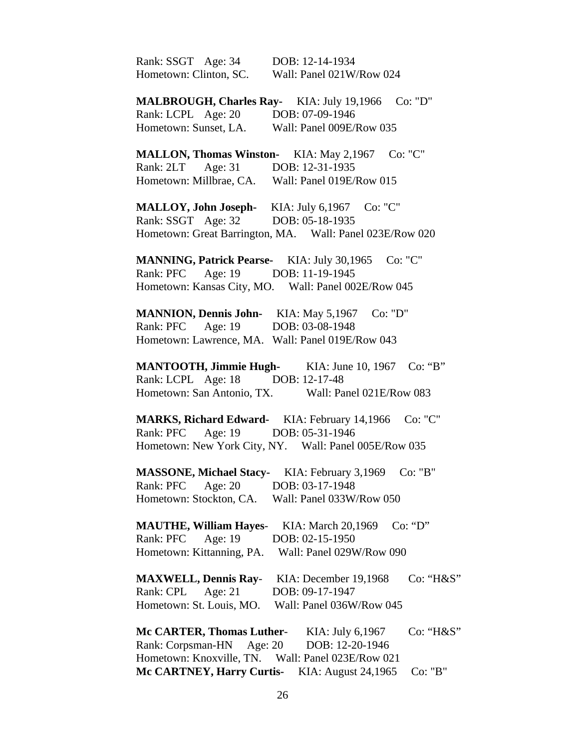| Rank: SSGT Age: 34               | DOB: 12-14-1934                                                |
|----------------------------------|----------------------------------------------------------------|
| Hometown: Clinton, SC.           | Wall: Panel 021W/Row 024                                       |
|                                  |                                                                |
|                                  | MALBROUGH, Charles Ray- KIA: July 19,1966 Co: "D"              |
|                                  | Rank: LCPL Age: 20 DOB: 07-09-1946                             |
|                                  | Hometown: Sunset, LA. Wall: Panel 009E/Row 035                 |
|                                  |                                                                |
|                                  | Co: "C"<br><b>MALLON, Thomas Winston-</b> KIA: May 2,1967      |
|                                  | Rank: 2LT Age: 31 DOB: 12-31-1935                              |
|                                  | Hometown: Millbrae, CA. Wall: Panel 019E/Row 015               |
|                                  | MALLOY, John Joseph- KIA: July 6,1967 Co: "C"                  |
|                                  | Rank: SSGT Age: 32 DOB: 05-18-1935                             |
|                                  | Hometown: Great Barrington, MA. Wall: Panel 023E/Row 020       |
|                                  |                                                                |
|                                  | MANNING, Patrick Pearse- KIA: July 30,1965 Co: "C"             |
|                                  | Rank: PFC Age: 19 DOB: 11-19-1945                              |
|                                  | Hometown: Kansas City, MO. Wall: Panel 002E/Row 045            |
|                                  |                                                                |
|                                  | MANNION, Dennis John- KIA: May 5,1967 Co: "D"                  |
|                                  | Rank: PFC Age: 19 DOB: 03-08-1948                              |
|                                  | Hometown: Lawrence, MA. Wall: Panel 019E/Row 043               |
|                                  |                                                                |
|                                  | <b>MANTOOTH, Jimmie Hugh-</b> KIA: June 10, 1967<br>Co: 'B'    |
|                                  | Rank: LCPL Age: 18 DOB: 12-17-48                               |
|                                  | Hometown: San Antonio, TX. Wall: Panel 021E/Row 083            |
|                                  |                                                                |
|                                  | <b>MARKS, Richard Edward-</b> KIA: February 14,1966<br>Co: "C" |
|                                  | Rank: PFC Age: 19 DOB: 05-31-1946                              |
|                                  | Hometown: New York City, NY. Wall: Panel 005E/Row 035          |
|                                  |                                                                |
| <b>MASSONE, Michael Stacy-</b>   | KIA: February 3,1969<br>Co: "B"                                |
| Rank: PFC<br>Age: 20             | DOB: 03-17-1948                                                |
| Hometown: Stockton, CA.          | Wall: Panel 033W/Row 050                                       |
|                                  |                                                                |
| <b>MAUTHE, William Hayes-</b>    | Co: "D"<br>KIA: March 20,1969                                  |
| Age: 19<br>Rank: PFC             | DOB: 02-15-1950                                                |
| Hometown: Kittanning, PA.        | Wall: Panel 029W/Row 090                                       |
|                                  |                                                                |
| <b>MAXWELL, Dennis Ray-</b>      | Co: "H&S"<br>KIA: December 19,1968                             |
| Rank: CPL<br>Age: $21$           | DOB: 09-17-1947                                                |
| Hometown: St. Louis, MO.         | Wall: Panel 036W/Row 045                                       |
|                                  |                                                                |
| <b>Mc CARTER, Thomas Luther-</b> | KIA: July 6,1967<br>Co: "H&S"                                  |
| Rank: Corpsman-HN                | Age: $20$<br>DOB: 12-20-1946                                   |
| Hometown: Knoxville, TN.         | Wall: Panel 023E/Row 021                                       |
| Mc CARTNEY, Harry Curtis-        | KIA: August 24,1965<br>Co: "B"                                 |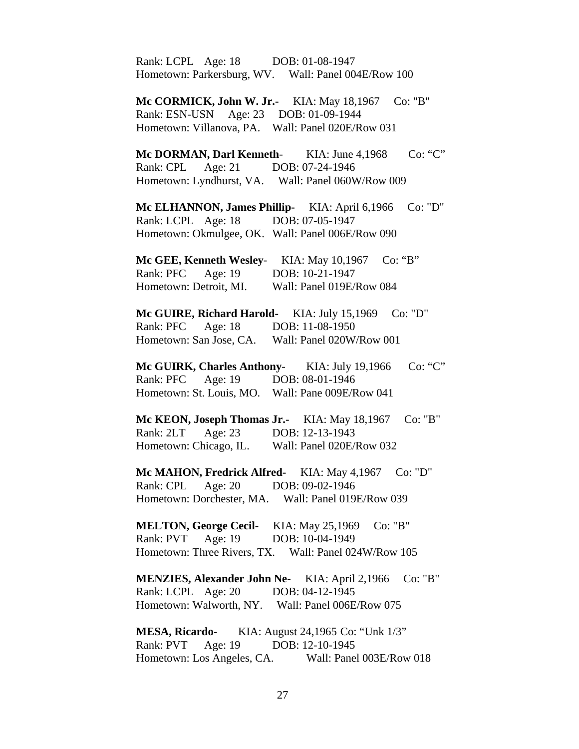Rank: LCPL Age: 18 DOB: 01-08-1947 Hometown: Parkersburg, WV. Wall: Panel 004E/Row 100

 **Mc CORMICK, John W. Jr.-** KIA: May 18,1967 Co: "B" Rank: ESN-USN Age: 23 DOB: 01-09-1944 Hometown: Villanova, PA. Wall: Panel 020E/Row 031

**Mc DORMAN, Darl Kenneth-** KIA: June 4,1968 Co: "C" Rank: CPL Age: 21 DOB: 07-24-1946 Hometown: Lyndhurst, VA. Wall: Panel 060W/Row 009

**Mc ELHANNON, James Phillip-** KIA: April 6,1966 Co: "D" Rank: LCPL Age: 18 DOB: 07-05-1947 Hometown: Okmulgee, OK. Wall: Panel 006E/Row 090

 **Mc GEE, Kenneth Wesley**- KIA: May 10,1967 Co: "B" Rank: PFC Age: 19 DOB: 10-21-1947 Hometown: Detroit, MI. Wall: Panel 019E/Row 084

**Mc GUIRE, Richard Harold-** KIA: July 15,1969 Co: "D" Rank: PFC Age: 18 DOB: 11-08-1950 Hometown: San Jose, CA. Wall: Panel 020W/Row 001

Mc GUIRK, Charles Anthony- KIA: July 19,1966 Co: "C" Rank: PFC Age: 19 DOB: 08-01-1946 Hometown: St. Louis, MO. Wall: Pane 009E/Row 041

**Mc KEON, Joseph Thomas Jr.-** KIA: May 18,1967 Co: "B" Rank: 2LT Age: 23 DOB: 12-13-1943 Hometown: Chicago, IL. Wall: Panel 020E/Row 032

**Mc MAHON, Fredrick Alfred-** KIA: May 4,1967 Co: "D" Rank: CPL Age: 20 DOB: 09-02-1946 Hometown: Dorchester, MA. Wall: Panel 019E/Row 039

**MELTON, George Cecil-** KIA: May 25,1969 Co: "B" Rank: PVT Age: 19 DOB: 10-04-1949 Hometown: Three Rivers, TX. Wall: Panel 024W/Row 105

**MENZIES, Alexander John Ne-** KIA: April 2,1966 Co: "B" Rank: LCPL Age: 20 DOB: 04-12-1945 Hometown: Walworth, NY. Wall: Panel 006E/Row 075

 **MESA, Ricardo**- KIA: August 24,1965 Co: "Unk 1/3" Rank: PVT Age: 19 DOB: 12-10-1945 Hometown: Los Angeles, CA. Wall: Panel 003E/Row 018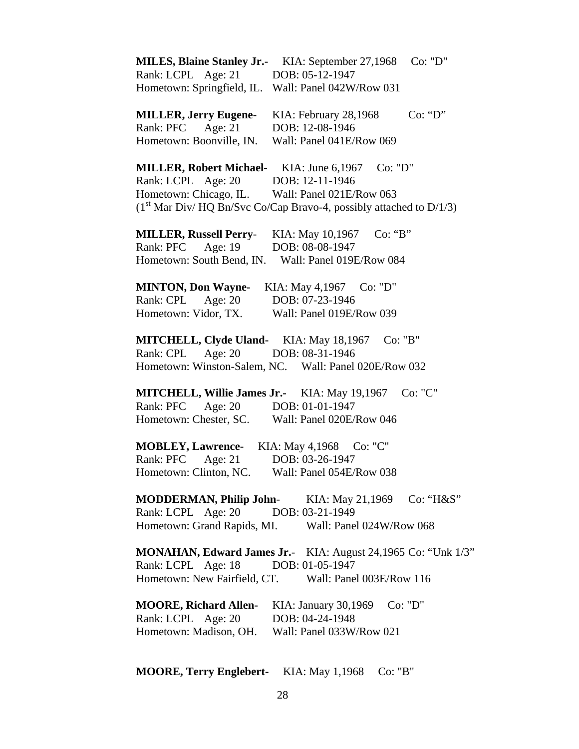| <b>MILES, Blaine Stanley Jr.-</b>                   | Co: "D"<br>KIA: September 27,1968                                    |
|-----------------------------------------------------|----------------------------------------------------------------------|
| Rank: LCPL Age: 21                                  | DOB: 05-12-1947                                                      |
| Hometown: Springfield, IL.                          | Wall: Panel 042W/Row 031                                             |
| <b>MILLER, Jerry Eugene-</b>                        | Co: "D"<br>KIA: February 28,1968                                     |
| Rank: PFC<br>Age: 21                                | DOB: 12-08-1946                                                      |
| Hometown: Boonville, IN.                            | Wall: Panel 041E/Row 069                                             |
| <b>MILLER, Robert Michael-</b>                      | KIA: June 6,1967<br>Co: "D"                                          |
| Rank: LCPL Age: 20                                  | DOB: 12-11-1946                                                      |
| Hometown: Chicago, IL.                              | Wall: Panel 021E/Row 063                                             |
|                                                     | $(1st Mar Div/HQ Bn/Svc Co/Cap Bravo-4, possibly attached to D/1/3)$ |
| <b>MILLER, Russell Perry-</b>                       | KIA: May 10,1967<br>Co: "B"                                          |
| Age: 19<br>Rank: PFC                                | DOB: 08-08-1947                                                      |
| Hometown: South Bend, IN.                           | Wall: Panel 019E/Row 084                                             |
|                                                     |                                                                      |
| <b>MINTON, Don Wayne-</b>                           | KIA: May 4,1967 Co: "D"                                              |
| Rank: CPL<br>Age: 20                                | DOB: 07-23-1946                                                      |
| Hometown: Vidor, TX.                                | Wall: Panel 019E/Row 039                                             |
|                                                     |                                                                      |
| <b>MITCHELL, Clyde Uland-</b> KIA: May 18,1967      | Co: "B"                                                              |
| Rank: CPL<br>Age: 20                                | DOB: 08-31-1946                                                      |
|                                                     | Hometown: Winston-Salem, NC. Wall: Panel 020E/Row 032                |
| <b>MITCHELL, Willie James Jr.-</b> KIA: May 19,1967 | Co: "C"                                                              |
| Age: $20$<br>Rank: PFC                              | DOB: 01-01-1947                                                      |
| Hometown: Chester, SC.                              | Wall: Panel 020E/Row 046                                             |
|                                                     |                                                                      |
| <b>MOBLEY, Lawrence-</b>                            | KIA: May 4,1968<br>Co: "C"                                           |
| Rank: PFC<br>Age: $21$                              | DOB: 03-26-1947                                                      |
| Hometown: Clinton, NC.                              | Wall: Panel 054E/Row 038                                             |
| <b>MODDERMAN, Philip John-</b> KIA: May 21,1969     | Co: "H&S"                                                            |
| Rank: LCPL Age: 20                                  | DOB: 03-21-1949                                                      |
| Hometown: Grand Rapids, MI.                         | Wall: Panel 024W/Row 068                                             |
|                                                     | <b>MONAHAN, Edward James Jr.</b> KIA: August 24,1965 Co: "Unk 1/3"   |
| Rank: LCPL Age: 18 DOB: 01-05-1947                  |                                                                      |
|                                                     | Hometown: New Fairfield, CT. Wall: Panel 003E/Row 116                |
|                                                     | Co: "D"                                                              |
| <b>MOORE, Richard Allen-</b>                        | KIA: January 30,1969                                                 |
| Rank: LCPL Age: 20                                  | DOB: 04-24-1948                                                      |
| Hometown: Madison, OH. Wall: Panel 033W/Row 021     |                                                                      |
|                                                     |                                                                      |

**MOORE, Terry Englebert-** KIA: May 1,1968 Co: "B"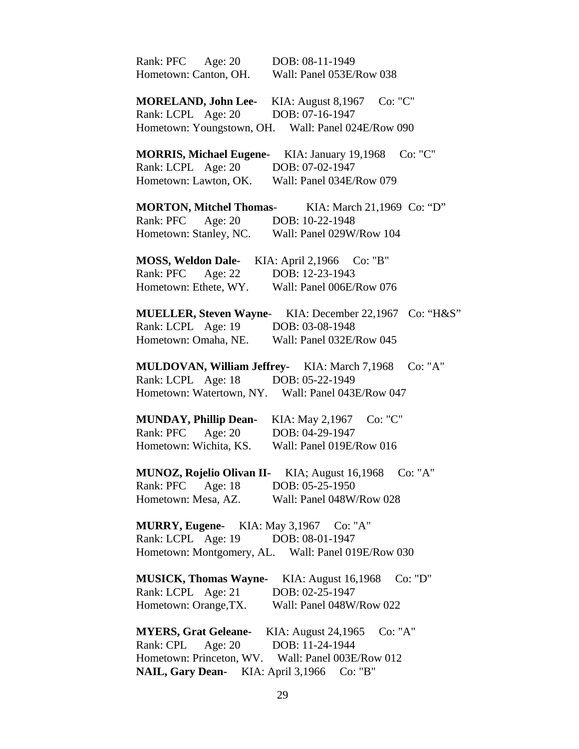| Rank: PFC Age: 20<br>Hometown: Canton, OH.                                                                                                                                 | DOB: 08-11-1949<br>Wall: Panel 053E/Row 038                                                         |
|----------------------------------------------------------------------------------------------------------------------------------------------------------------------------|-----------------------------------------------------------------------------------------------------|
| <b>MORELAND, John Lee-</b><br>Rank: LCPL Age: 20                                                                                                                           | KIA: August 8,1967 Co: "C"<br>DOB: 07-16-1947<br>Hometown: Youngstown, OH. Wall: Panel 024E/Row 090 |
| <b>MORRIS, Michael Eugene-</b><br>Rank: LCPL Age: 20<br>Hometown: Lawton, OK.                                                                                              | Co: "C"<br>KIA: January 19,1968<br>DOB: 07-02-1947<br>Wall: Panel 034E/Row 079                      |
| <b>MORTON, Mitchel Thomas-</b><br>Rank: PFC Age: 20<br>Hometown: Stanley, NC.                                                                                              | KIA: March 21,1969 Co: "D"<br>DOB: 10-22-1948<br>Wall: Panel 029W/Row 104                           |
| <b>MOSS, Weldon Dale-</b><br>Rank: PFC Age: 22<br>Hometown: Ethete, WY.                                                                                                    | KIA: April 2,1966 Co: "B"<br>DOB: 12-23-1943<br>Wall: Panel 006E/Row 076                            |
| <b>MUELLER, Steven Wayne-</b><br>Rank: LCPL Age: 19<br>Hometown: Omaha, NE.                                                                                                | KIA: December 22,1967 Co: "H&S"<br>DOB: 03-08-1948<br>Wall: Panel 032E/Row 045                      |
| MULDOVAN, William Jeffrey- KIA: March 7,1968<br>Rank: LCPL Age: 18                                                                                                         | Co: "A"<br>DOB: 05-22-1949<br>Hometown: Watertown, NY. Wall: Panel 043E/Row 047                     |
| <b>MUNDAY, Phillip Dean-</b><br>Rank: PFC Age: 20<br>Hometown: Wichita, KS.                                                                                                | Co: "C"<br>KIA: May 2,1967<br>DOB: 04-29-1947<br>Wall: Panel 019E/Row 016                           |
| MUNOZ, Rojelio Olivan II-<br>Rank: PFC<br>Age: $18$<br>Hometown: Mesa, AZ.                                                                                                 | KIA; August 16,1968<br>Co: "A"<br>DOB: 05-25-1950<br>Wall: Panel 048W/Row 028                       |
| <b>MURRY, Eugene-</b> KIA: May 3,1967 Co: "A"<br>Rank: LCPL Age: 19                                                                                                        | DOB: 08-01-1947<br>Hometown: Montgomery, AL. Wall: Panel 019E/Row 030                               |
| <b>MUSICK, Thomas Wayne-</b><br>Rank: LCPL Age: 21<br>Hometown: Orange, TX.                                                                                                | KIA: August 16,1968<br>Co: "D"<br>DOB: 02-25-1947<br>Wall: Panel 048W/Row 022                       |
| <b>MYERS, Grat Geleane-</b> KIA: August 24,1965<br>Rank: CPL<br>Age: 20<br>Hometown: Princeton, WV. Wall: Panel 003E/Row 012<br>NAIL, Gary Dean- KIA: April 3,1966 Co: "B" | Co: "A"<br>DOB: 11-24-1944                                                                          |
|                                                                                                                                                                            |                                                                                                     |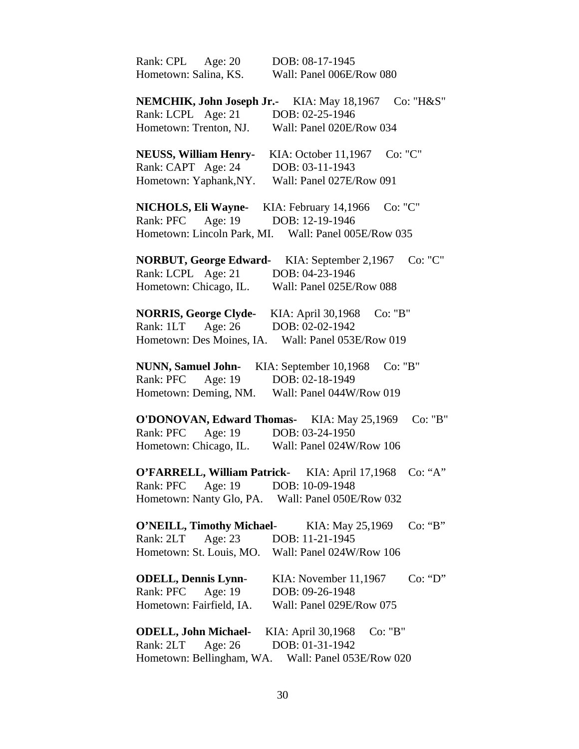| Rank: CPL<br>Age: 20             | DOB: 08-17-1945                   |
|----------------------------------|-----------------------------------|
| Hometown: Salina, KS.            | Wall: Panel 006E/Row 080          |
|                                  |                                   |
| NEMCHIK, John Joseph Jr.-        | Co: "H&S"<br>KIA: May 18,1967     |
| Rank: LCPL Age: 21               | DOB: 02-25-1946                   |
| Hometown: Trenton, NJ.           | Wall: Panel 020E/Row 034          |
|                                  |                                   |
| <b>NEUSS, William Henry-</b>     | Co: "C"<br>KIA: October 11,1967   |
| Rank: CAPT Age: 24               | DOB: 03-11-1943                   |
| Hometown: Yaphank, NY.           | Wall: Panel 027E/Row 091          |
|                                  |                                   |
| <b>NICHOLS, Eli Wayne-</b>       | Co: "C"<br>KIA: February 14,1966  |
| Rank: PFC Age: 19                | DOB: 12-19-1946                   |
| Hometown: Lincoln Park, MI.      | Wall: Panel 005E/Row 035          |
|                                  |                                   |
| <b>NORBUT, George Edward-</b>    | Co: "C"<br>KIA: September 2,1967  |
| Rank: LCPL Age: 21               | DOB: 04-23-1946                   |
| Hometown: Chicago, IL.           | Wall: Panel 025E/Row 088          |
|                                  |                                   |
|                                  |                                   |
| <b>NORRIS, George Clyde-</b>     | KIA: April 30,1968<br>Co: "B"     |
| Rank: 1LT Age: 26                | DOB: 02-02-1942                   |
| Hometown: Des Moines, IA.        | Wall: Panel 053E/Row 019          |
|                                  |                                   |
| <b>NUNN, Samuel John-</b>        | Co: "B"<br>KIA: September 10,1968 |
| Rank: PFC<br>Age: 19             | DOB: 02-18-1949                   |
| Hometown: Deming, NM.            | Wall: Panel 044W/Row 019          |
|                                  |                                   |
| <b>O'DONOVAN, Edward Thomas-</b> | Co: "B"<br>KIA: May 25,1969       |
| Age: 19<br>Rank: PFC             | DOB: 03-24-1950                   |
| Hometown: Chicago, IL.           | Wall: Panel 024W/Row 106          |
|                                  |                                   |
| O'FARRELL, William Patrick-      | KIA: April 17,1968<br>Co: "A"     |
| Age: 19<br>Rank: PFC             | DOB: 10-09-1948                   |
| Hometown: Nanty Glo, PA.         | Wall: Panel 050E/Row 032          |
|                                  |                                   |
| <b>O'NEILL, Timothy Michael-</b> | Co: "B"<br>KIA: May 25,1969       |
| Age: 23<br>Rank: 2LT             | DOB: 11-21-1945                   |
| Hometown: St. Louis, MO.         | Wall: Panel 024W/Row 106          |
|                                  |                                   |
| <b>ODELL, Dennis Lynn-</b>       | Co: "D"<br>KIA: November 11,1967  |
| Rank: PFC<br>Age: 19             | DOB: 09-26-1948                   |
| Hometown: Fairfield, IA.         | Wall: Panel 029E/Row 075          |
|                                  |                                   |
| <b>ODELL, John Michael-</b>      | KIA: April 30,1968<br>Co: "B"     |
| Rank: 2LT Age: 26                | DOB: 01-31-1942                   |
| Hometown: Bellingham, WA.        | Wall: Panel 053E/Row 020          |
|                                  |                                   |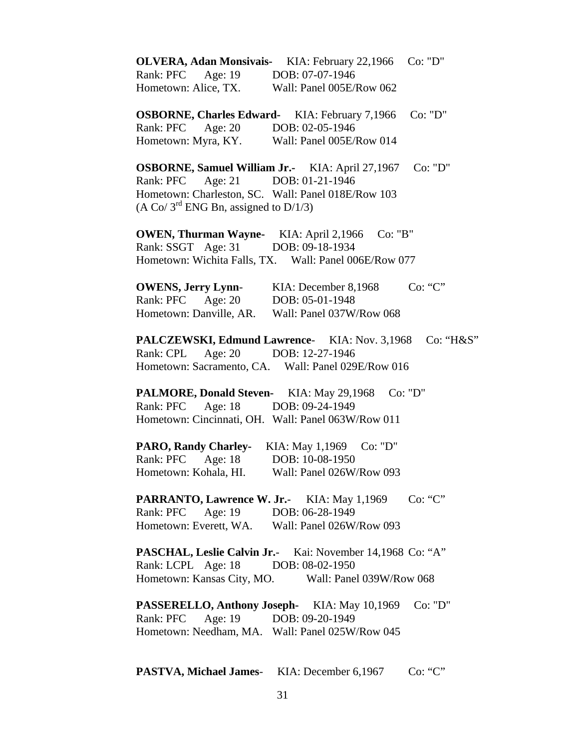| OLVERA, Adan Monsivais- KIA: February 22,1966 Co: "D"<br>Rank: PFC Age: 19 DOB: 07-07-1946<br>Hometown: Alice, TX. Wall: Panel 005E/Row 062                                                                                          |
|--------------------------------------------------------------------------------------------------------------------------------------------------------------------------------------------------------------------------------------|
| Co: "D"<br><b>OSBORNE, Charles Edward-</b> KIA: February 7,1966<br>Rank: PFC Age: 20 DOB: 02-05-1946<br>Hometown: Myra, KY. Wall: Panel 005E/Row 014                                                                                 |
| <b>OSBORNE, Samuel William Jr.-</b> KIA: April 27,1967<br>Co: "D"<br>Rank: PFC Age: 21 DOB: 01-21-1946<br>Hometown: Charleston, SC. Wall: Panel 018E/Row 103<br>$(A \text{ Co}/ 3^{\text{rd}} \text{ ENG Bn},$ assigned to $D/1/3$ ) |
| <b>OWEN, Thurman Wayne-</b> KIA: April 2,1966<br>Co: "B"<br>Rank: SSGT Age: 31 DOB: 09-18-1934<br>Hometown: Wichita Falls, TX. Wall: Panel 006E/Row 077                                                                              |
| <b>OWENS, Jerry Lynn-</b> KIA: December 8,1968<br>Co: "C"<br>Rank: PFC Age: 20 DOB: 05-01-1948<br>Hometown: Danville, AR. Wall: Panel 037W/Row 068                                                                                   |
| <b>PALCZEWSKI, Edmund Lawrence-</b> KIA: Nov. 3,1968<br>Co: "H&S"<br>Rank: CPL<br>Age: 20 DOB: 12-27-1946<br>Hometown: Sacramento, CA. Wall: Panel 029E/Row 016                                                                      |
| <b>PALMORE, Donald Steven-</b> KIA: May 29,1968<br>Co: "D"<br>Rank: PFC Age: 18 DOB: 09-24-1949<br>Hometown: Cincinnati, OH. Wall: Panel 063W/Row 011                                                                                |
| <b>PARO, Randy Charley-</b> KIA: May 1,1969<br>Co: "D"<br>Rank: PFC Age: 18 DOB: 10-08-1950<br>Hometown: Kohala, HI.<br>Wall: Panel 026W/Row 093                                                                                     |
| Co: "C"<br>PARRANTO, Lawrence W. Jr.- KIA: May 1,1969<br>Rank: PFC<br>Age: 19 DOB: 06-28-1949<br>Hometown: Everett, WA. Wall: Panel 026W/Row 093                                                                                     |
| <b>PASCHAL, Leslie Calvin Jr.</b> Kai: November 14,1968 Co: "A"<br>Rank: LCPL Age: 18<br>DOB: 08-02-1950<br>Hometown: Kansas City, MO. Wall: Panel 039W/Row 068                                                                      |
| <b>PASSERELLO, Anthony Joseph-</b> KIA: May 10,1969<br>Co: "D"<br>Rank: PFC Age: 19 DOB: 09-20-1949<br>Hometown: Needham, MA. Wall: Panel 025W/Row 045                                                                               |

PASTVA, Michael James- KIA: December 6,1967 Co: "C"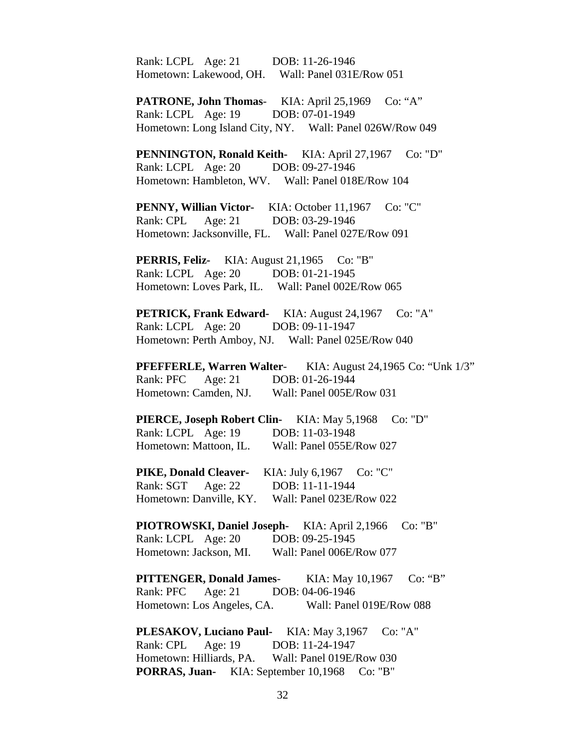Rank: LCPL Age: 21 DOB: 11-26-1946 Hometown: Lakewood, OH. Wall: Panel 031E/Row 051

 **PATRONE, John Thomas**- KIA: April 25,1969 Co: "A" Rank: LCPL Age: 19 DOB: 07-01-1949 Hometown: Long Island City, NY. Wall: Panel 026W/Row 049

**PENNINGTON, Ronald Keith-** KIA: April 27,1967 Co: "D" Rank: LCPL Age: 20 DOB: 09-27-1946 Hometown: Hambleton, WV. Wall: Panel 018E/Row 104

PENNY, Willian Victor- KIA: October 11,1967 Co: "C" Rank: CPL Age: 21 DOB: 03-29-1946 Hometown: Jacksonville, FL. Wall: Panel 027E/Row 091

**PERRIS, Feliz-** KIA: August 21,1965 Co: "B" Rank: LCPL Age: 20 DOB: 01-21-1945 Hometown: Loves Park, IL. Wall: Panel 002E/Row 065

**PETRICK, Frank Edward-** KIA: August 24,1967 Co: "A" Rank: LCPL Age: 20 DOB: 09-11-1947 Hometown: Perth Amboy, NJ. Wall: Panel 025E/Row 040

**PFEFFERLE, Warren Walter-** KIA: August 24,1965 Co: "Unk 1/3" Rank: PFC Age: 21 DOB: 01-26-1944 Hometown: Camden, NJ. Wall: Panel 005E/Row 031

**PIERCE, Joseph Robert Clin-** KIA: May 5,1968 Co: "D" Rank: LCPL Age: 19 DOB: 11-03-1948 Hometown: Mattoon, IL. Wall: Panel 055E/Row 027

PIKE, Donald Cleaver- KIA: July 6,1967 Co: "C" Rank: SGT Age: 22 DOB: 11-11-1944 Hometown: Danville, KY. Wall: Panel 023E/Row 022

**PIOTROWSKI, Daniel Joseph-** KIA: April 2,1966 Co: "B" Rank: LCPL Age: 20 DOB: 09-25-1945 Hometown: Jackson, MI. Wall: Panel 006E/Row 077

 **PITTENGER, Donald James**- KIA: May 10,1967 Co: "B" Rank: PFC Age: 21 DOB: 04-06-1946 Hometown: Los Angeles, CA. Wall: Panel 019E/Row 088

PL**ESAKOV, Luciano Paul-** KIA: May 3,1967 Co: "A" Rank: CPL Age: 19 DOB: 11-24-1947 Hometown: Hilliards, PA. Wall: Panel 019E/Row 030 **PORRAS, Juan-** KIA: September 10,1968 Co: "B"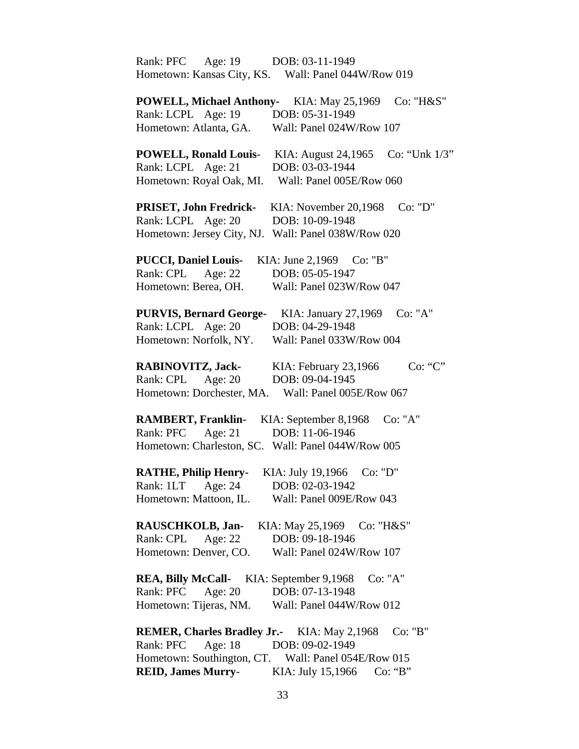| Rank: PFC<br>Age: $19$<br>DOB: 03-11-1949                            |
|----------------------------------------------------------------------|
| Hometown: Kansas City, KS. Wall: Panel 044W/Row 019                  |
|                                                                      |
| <b>POWELL, Michael Anthony-</b><br>Co: "H&S"<br>KIA: May 25,1969     |
| Rank: LCPL Age: 19<br>DOB: 05-31-1949                                |
| Hometown: Atlanta, GA.<br>Wall: Panel 024W/Row 107                   |
|                                                                      |
| Co: "Unk 1/3"<br><b>POWELL, Ronald Louis-</b><br>KIA: August 24,1965 |
| Rank: LCPL Age: 21<br>DOB: 03-03-1944                                |
| Hometown: Royal Oak, MI.<br>Wall: Panel 005E/Row 060                 |
|                                                                      |
| PRISET, John Fredrick-<br>Co: "D"<br>KIA: November 20,1968           |
| Rank: LCPL Age: 20<br>DOB: 10-09-1948                                |
| Hometown: Jersey City, NJ.<br>Wall: Panel 038W/Row 020               |
|                                                                      |
| <b>PUCCI, Daniel Louis-</b><br>KIA: June 2,1969<br>Co: "B"           |
| Rank: CPL<br>Age: $22$<br>DOB: 05-05-1947                            |
| Hometown: Berea, OH.<br>Wall: Panel 023W/Row 047                     |
|                                                                      |
| Co: "A"<br><b>PURVIS, Bernard George-</b><br>KIA: January 27,1969    |
| Rank: LCPL Age: 20<br>DOB: 04-29-1948                                |
| Hometown: Norfolk, NY.<br>Wall: Panel 033W/Row 004                   |
|                                                                      |
| RABINOVITZ, Jack-<br>KIA: February 23,1966<br>Co: "C"                |
| DOB: 09-04-1945<br>Rank: CPL<br>Age: 20                              |
| Hometown: Dorchester, MA.<br>Wall: Panel 005E/Row 067                |
|                                                                      |
| <b>RAMBERT, Franklin-</b><br>KIA: September 8,1968<br>Co: "A"        |
| Age: $21$<br>DOB: 11-06-1946<br>Rank: PFC                            |
| Hometown: Charleston, SC. Wall: Panel 044W/Row 005                   |
|                                                                      |
| <b>RATHE, Philip Henry-</b><br>KIA: July 19,1966<br>Co: "D"          |
| Rank: 1LT<br>DOB: 02-03-1942<br>Age: $24$                            |
| Hometown: Mattoon, IL.<br>Wall: Panel 009E/Row 043                   |
|                                                                      |
| RAUSCHKOLB, Jan-<br>KIA: May 25,1969 Co: "H&S"                       |
| Age: $22$<br>Rank: CPL<br>DOB: 09-18-1946                            |
| Hometown: Denver, CO.<br>Wall: Panel 024W/Row 107                    |
|                                                                      |
| <b>REA, Billy McCall-</b> KIA: September 9,1968<br>Co: "A"           |
| Rank: PFC<br>Age: 20<br>DOB: 07-13-1948                              |
| Hometown: Tijeras, NM.<br>Wall: Panel 044W/Row 012                   |
|                                                                      |
| <b>REMER, Charles Bradley Jr.-</b> KIA: May 2,1968<br>Co: "B"        |
| Rank: PFC Age: 18<br>DOB: 09-02-1949                                 |
| Hometown: Southington, CT. Wall: Panel 054E/Row 015                  |
|                                                                      |

**REID, James Murry**- KIA: July 15,1966 Co: "B"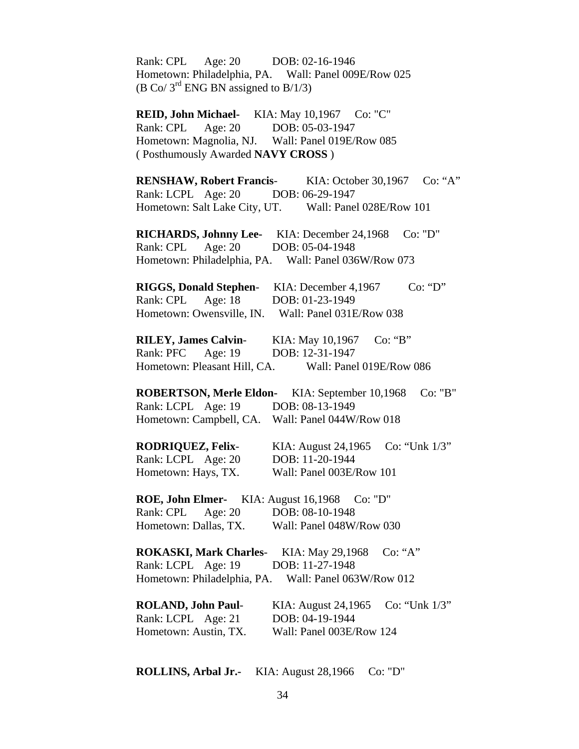| Rank: CPL Age: 20 DOB: 02-16-1946<br>$(B \text{ Co}/3^{\text{rd}} \text{ ENG BN assigned to } B/1/3)$                                                                      | Hometown: Philadelphia, PA. Wall: Panel 009E/Row 025                                                            |
|----------------------------------------------------------------------------------------------------------------------------------------------------------------------------|-----------------------------------------------------------------------------------------------------------------|
| REID, John Michael- KIA: May 10,1967 Co: "C"<br>Rank: CPL Age: 20 DOB: 05-03-1947<br>Hometown: Magnolia, NJ. Wall: Panel 019E/Row 085<br>(Posthumously Awarded NAVY CROSS) |                                                                                                                 |
| Rank: LCPL Age: 20 DOB: 06-29-1947                                                                                                                                         | RENSHAW, Robert Francis- KIA: October 30,1967 Co: "A"<br>Hometown: Salt Lake City, UT. Wall: Panel 028E/Row 101 |
| <b>RICHARDS, Johnny Lee-</b> KIA: December 24,1968<br>Rank: CPL Age: 20 DOB: 05-04-1948                                                                                    | Co: "D"<br>Hometown: Philadelphia, PA. Wall: Panel 036W/Row 073                                                 |
| RIGGS, Donald Stephen- KIA: December 4,1967<br>Rank: CPL Age: 18 DOB: 01-23-1949                                                                                           | Co: "D"<br>Hometown: Owensville, IN. Wall: Panel 031E/Row 038                                                   |
| <b>RILEY, James Calvin-</b><br>Rank: PFC Age: 19                                                                                                                           | KIA: May 10,1967<br>Co: "B"<br>DOB: 12-31-1947<br>Hometown: Pleasant Hill, CA. Wall: Panel 019E/Row 086         |
| Rank: LCPL Age: 19 DOB: 08-13-1949<br>Hometown: Campbell, CA. Wall: Panel 044W/Row 018                                                                                     | <b>ROBERTSON, Merle Eldon-</b> KIA: September 10,1968<br>Co: "B"                                                |
| <b>RODRIQUEZ, Felix-</b> KIA: August 24,1965<br>Rank: LCPL Age: 20<br>Hometown: Hays, TX.                                                                                  | Co: "Unk $1/3$ "<br>DOB: 11-20-1944<br>Wall: Panel 003E/Row 101                                                 |
| <b>ROE, John Elmer-</b> KIA: August 16,1968<br>Rank: CPL<br>Age: $20$<br>Hometown: Dallas, TX.                                                                             | Co: "D"<br>DOB: 08-10-1948<br>Wall: Panel 048W/Row 030                                                          |
| <b>ROKASKI, Mark Charles-</b><br>Rank: LCPL Age: 19<br>Hometown: Philadelphia, PA.                                                                                         | KIA: May 29,1968<br>Co: "A"<br>DOB: 11-27-1948<br>Wall: Panel 063W/Row 012                                      |
| <b>ROLAND, John Paul-</b><br>Rank: LCPL Age: 21<br>Hometown: Austin, TX.                                                                                                   | Co: "Unk $1/3$ "<br>KIA: August 24,1965<br>DOB: 04-19-1944<br>Wall: Panel 003E/Row 124                          |

**ROLLINS, Arbal Jr.-** KIA: August 28,1966 Co: "D"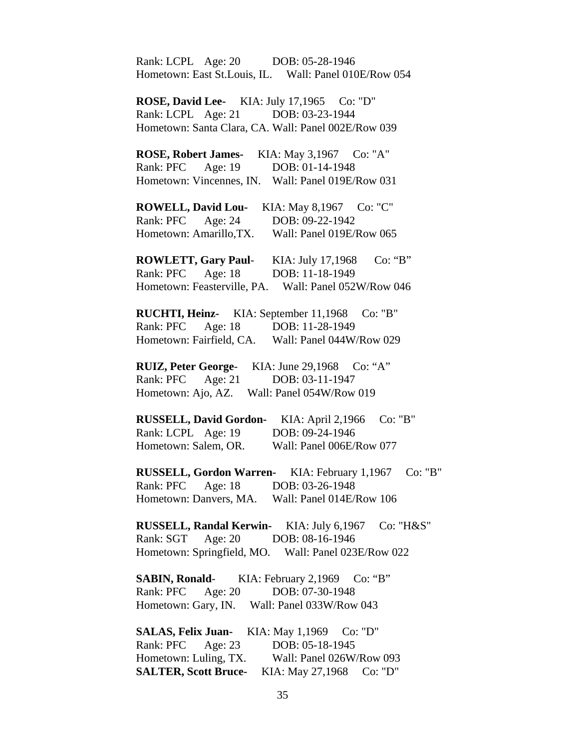Rank: LCPL Age: 20 DOB: 05-28-1946 Hometown: East St.Louis, IL. Wall: Panel 010E/Row 054 **ROSE, David Lee-** KIA: July 17,1965 Co: "D" Rank: LCPL Age: 21 DOB: 03-23-1944 Hometown: Santa Clara, CA. Wall: Panel 002E/Row 039 **ROSE, Robert James-** KIA: May 3,1967 Co: "A" Rank: PFC Age: 19 DOB: 01-14-1948 Hometown: Vincennes, IN. Wall: Panel 019E/Row 031 **ROWELL, David Lou-** KIA: May 8,1967 Co: "C" Rank: PFC Age: 24 DOB: 09-22-1942 Hometown: Amarillo,TX. Wall: Panel 019E/Row 065 **ROWLETT, Gary Paul**- KIA: July 17,1968 Co: "B" Rank: PFC Age: 18 DOB: 11-18-1949 Hometown: Feasterville, PA. Wall: Panel 052W/Row 046 **RUCHTI, Heinz-** KIA: September 11,1968 Co: "B" Rank: PFC Age: 18 DOB: 11-28-1949 Hometown: Fairfield, CA. Wall: Panel 044W/Row 029 **RUIZ, Peter George**- KIA: June 29,1968 Co: "A" Rank: PFC Age: 21 DOB: 03-11-1947 Hometown: Ajo, AZ. Wall: Panel 054W/Row 019 **RUSSELL, David Gordon-** KIA: April 2,1966 Co: "B" Rank: LCPL Age: 19 DOB: 09-24-1946 Hometown: Salem, OR. Wall: Panel 006E/Row 077 **RUSSELL, Gordon Warren-** KIA: February 1,1967 Co: "B" Rank: PFC Age: 18 DOB: 03-26-1948 Hometown: Danvers, MA. Wall: Panel 014E/Row 106 **RUSSELL, Randal Kerwin-** KIA: July 6,1967 Co: "H&S" Rank: SGT Age: 20 DOB: 08-16-1946 Hometown: Springfield, MO. Wall: Panel 023E/Row 022 **SABIN, Ronald**- KIA: February 2,1969 Co: "B" Rank: PFC Age: 20 DOB: 07-30-1948 Hometown: Gary, IN. Wall: Panel 033W/Row 043 **SALAS, Felix Juan-** KIA: May 1,1969 Co: "D" Rank: PFC Age: 23 DOB: 05-18-1945 Hometown: Luling, TX. Wall: Panel 026W/Row 093 **SALTER, Scott Bruce-** KIA: May 27,1968 Co: "D"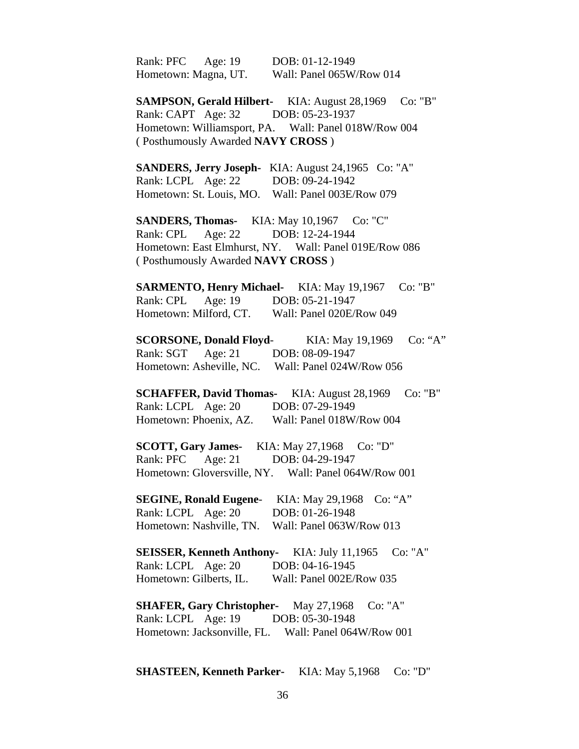Rank: PFC Age: 19 DOB: 01-12-1949 Hometown: Magna, UT. Wall: Panel 065W/Row 014

**SAMPSON, Gerald Hilbert-** KIA: August 28,1969 Co: "B" Rank: CAPT Age: 32 DOB: 05-23-1937 Hometown: Williamsport, PA. Wall: Panel 018W/Row 004 ( Posthumously Awarded **NAVY CROSS** )

 **SANDERS, Jerry Joseph-** KIA: August 24,1965 Co: "A" Rank: LCPL Age: 22 DOB: 09-24-1942 Hometown: St. Louis, MO. Wall: Panel 003E/Row 079

**SANDERS, Thomas-** KIA: May 10,1967 Co: "C" Rank: CPL Age: 22 DOB: 12-24-1944 Hometown: East Elmhurst, NY. Wall: Panel 019E/Row 086 ( Posthumously Awarded **NAVY CROSS** )

**SARMENTO, Henry Michael-** KIA: May 19,1967 Co: "B" Rank: CPL Age: 19 DOB: 05-21-1947 Hometown: Milford, CT. Wall: Panel 020E/Row 049

**SCORSONE, Donald Floyd**- KIA: May 19,1969 Co: "A" Rank: SGT Age: 21 DOB: 08-09-1947 Hometown: Asheville, NC. Wall: Panel 024W/Row 056

**SCHAFFER, David Thomas-** KIA: August 28,1969 Co: "B" Rank: LCPL Age: 20 DOB: 07-29-1949 Hometown: Phoenix, AZ. Wall: Panel 018W/Row 004

**SCOTT, Gary James-** KIA: May 27,1968 Co: "D" Rank: PFC Age: 21 DOB: 04-29-1947 Hometown: Gloversville, NY. Wall: Panel 064W/Row 001

 **SEGINE, Ronald Eugene**- KIA: May 29,1968 Co: "A" Rank: LCPL Age: 20 DOB: 01-26-1948 Hometown: Nashville, TN. Wall: Panel 063W/Row 013

 **SEISSER, Kenneth Anthony-** KIA: July 11,1965 Co: "A" Rank: LCPL Age: 20 DOB: 04-16-1945 Hometown: Gilberts, IL. Wall: Panel 002E/Row 035

**SHAFER, Gary Christopher-** May 27,1968 Co: "A" Rank: LCPL Age: 19 DOB: 05-30-1948 Hometown: Jacksonville, FL. Wall: Panel 064W/Row 001

**SHASTEEN, Kenneth Parker-** KIA: May 5,1968 Co: "D"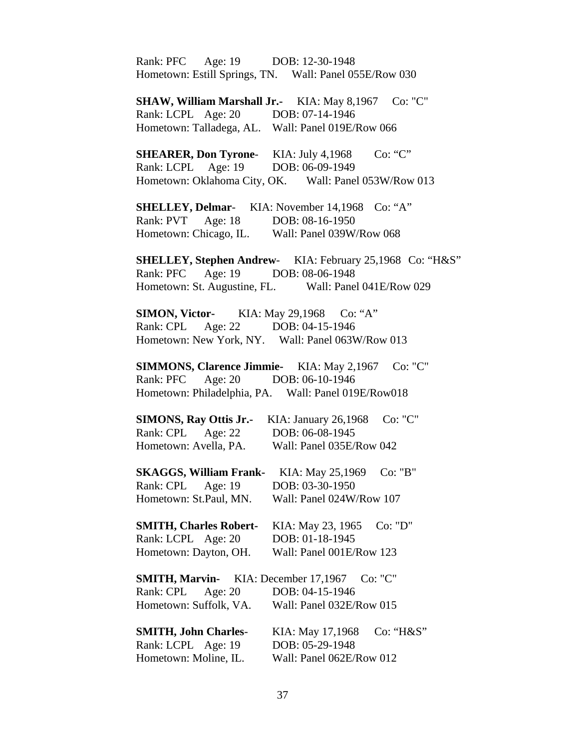Rank: PFC Age: 19 DOB: 12-30-1948 Hometown: Estill Springs, TN. Wall: Panel 055E/Row 030 **SHAW, William Marshall Jr.-** KIA: May 8,1967 Co: "C" Rank: LCPL Age: 20 DOB: 07-14-1946 Hometown: Talladega, AL. Wall: Panel 019E/Row 066 **SHEARER, Don Tyrone-** KIA: July 4,1968 Co: "C" Rank: LCPL Age: 19 DOB: 06-09-1949 Hometown: Oklahoma City, OK. Wall: Panel 053W/Row 013 **SHELLEY, Delmar**- KIA: November 14,1968 Co: "A" Rank: PVT Age: 18 DOB: 08-16-1950 Hometown: Chicago, IL. Wall: Panel 039W/Row 068 **SHELLEY, Stephen Andrew**- KIA: February 25,1968 Co: "H&S" Rank: PFC Age: 19 DOB: 08-06-1948 Hometown: St. Augustine, FL. Wall: Panel 041E/Row 029 **SIMON, Victor-** KIA: May 29,1968 Co: "A" Rank: CPL Age: 22 DOB: 04-15-1946 Hometown: New York, NY. Wall: Panel 063W/Row 013 **SIMMONS, Clarence Jimmie-** KIA: May 2,1967 Co: "C" Rank: PFC Age: 20 DOB: 06-10-1946 Hometown: Philadelphia, PA. Wall: Panel 019E/Row018 **SIMONS, Ray Ottis Jr.-** KIA: January 26,1968 Co: "C" Rank: CPL Age: 22 DOB: 06-08-1945 Hometown: Avella, PA. Wall: Panel 035E/Row 042 **SKAGGS, William Frank-** KIA: May 25,1969 Co: "B" Rank: CPL Age: 19 DOB: 03-30-1950 Hometown: St.Paul, MN. Wall: Panel 024W/Row 107 **SMITH, Charles Robert-** KIA: May 23, 1965 Co: "D" Rank: LCPL Age: 20 DOB: 01-18-1945 Hometown: Dayton, OH. Wall: Panel 001E/Row 123 **SMITH, Marvin-** KIA: December 17,1967 Co: "C" Rank: CPL Age: 20 DOB: 04-15-1946 Hometown: Suffolk, VA. Wall: Panel 032E/Row 015 **SMITH, John Charles-** KIA: May 17,1968 Co: "H&S" Rank: LCPL Age: 19 DOB: 05-29-1948 Hometown: Moline, IL. Wall: Panel 062E/Row 012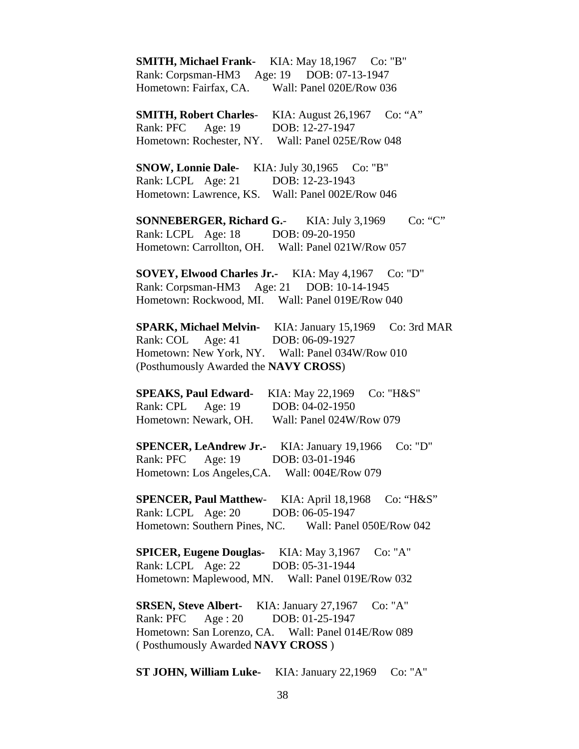**SMITH, Michael Frank-** KIA: May 18,1967 Co: "B" Rank: Corpsman-HM3 Age: 19 DOB: 07-13-1947 Hometown: Fairfax, CA. Wall: Panel 020E/Row 036 **SMITH, Robert Charles-** KIA: August 26,1967 Co: "A" Rank: PFC Age: 19 DOB: 12-27-1947 Hometown: Rochester, NY. Wall: Panel 025E/Row 048 **SNOW, Lonnie Dale-** KIA: July 30,1965 Co: "B" Rank: LCPL Age: 21 DOB: 12-23-1943 Hometown: Lawrence, KS. Wall: Panel 002E/Row 046 **SONNEBERGER, Richard G.-** KIA: July 3,1969 Co: "C" Rank: LCPL Age: 18 DOB: 09-20-1950 Hometown: Carrollton, OH. Wall: Panel 021W/Row 057 **SOVEY, Elwood Charles Jr.-** KIA: May 4,1967 Co: "D" Rank: Corpsman-HM3 Age: 21 DOB: 10-14-1945 Hometown: Rockwood, MI. Wall: Panel 019E/Row 040 **SPARK, Michael Melvin-** KIA: January 15,1969 Co: 3rd MAR Rank: COL Age: 41 DOB: 06-09-1927 Hometown: New York, NY. Wall: Panel 034W/Row 010 (Posthumously Awarded the **NAVY CROSS**) **SPEAKS, Paul Edward-** KIA: May 22,1969 Co: "H&S" Rank: CPL Age: 19 DOB: 04-02-1950 Hometown: Newark, OH. Wall: Panel 024W/Row 079 **SPENCER, LeAndrew Jr.-** KIA: January 19,1966 Co: "D" Rank: PFC Age: 19 DOB: 03-01-1946 Hometown: Los Angeles,CA. Wall: 004E/Row 079 **SPENCER, Paul Matthew**- KIA: April 18,1968 Co: "H&S" Rank: LCPL Age: 20 DOB: 06-05-1947 Hometown: Southern Pines, NC. Wall: Panel 050E/Row 042 **SPICER, Eugene Douglas-** KIA: May 3,1967 Co: "A" Rank: LCPL Age: 22 DOB: 05-31-1944 Hometown: Maplewood, MN. Wall: Panel 019E/Row 032 **SRSEN, Steve Albert-** KIA: January 27,1967 Co: "A" Rank: PFC Age : 20 DOB: 01-25-1947 Hometown: San Lorenzo, CA. Wall: Panel 014E/Row 089 ( Posthumously Awarded **NAVY CROSS** )

**ST JOHN, William Luke-** KIA: January 22,1969 Co: "A"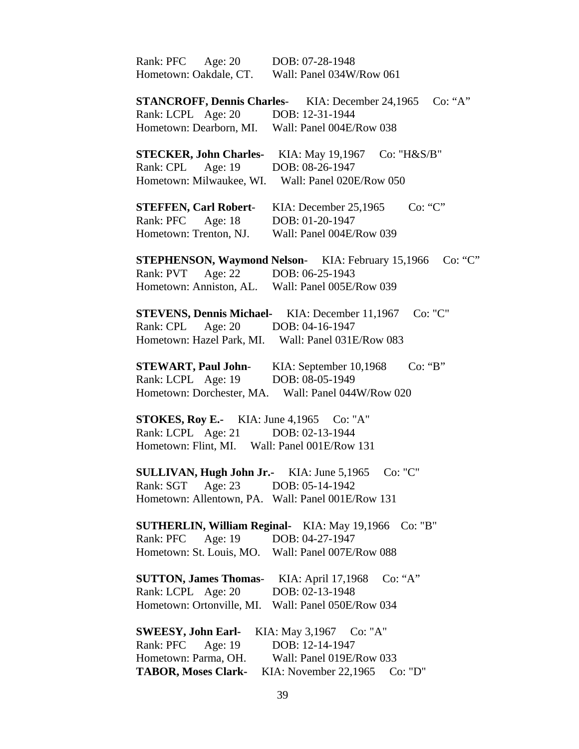| Rank: PFC Age: 20                  | DOB: 07-28-1948                                                     |
|------------------------------------|---------------------------------------------------------------------|
| Hometown: Oakdale, CT.             | Wall: Panel 034W/Row 061                                            |
|                                    | <b>STANCROFF, Dennis Charles-</b> KIA: December 24,1965<br>Co: "A"  |
| Rank: LCPL Age: 20 DOB: 12-31-1944 |                                                                     |
| Hometown: Dearborn, MI.            | Wall: Panel 004E/Row 038                                            |
|                                    |                                                                     |
|                                    | <b>STECKER, John Charles-</b> KIA: May 19,1967<br>Co: " $H&S/B$ "   |
| Rank: CPL<br>Age: 19               | DOB: 08-26-1947                                                     |
| Hometown: Milwaukee, WI.           | Wall: Panel 020E/Row 050                                            |
| <b>STEFFEN, Carl Robert-</b>       | Co: "C"<br>KIA: December 25,1965                                    |
| Rank: PFC Age: 18                  | DOB: 01-20-1947                                                     |
| Hometown: Trenton, NJ.             | Wall: Panel 004E/Row 039                                            |
|                                    |                                                                     |
|                                    | <b>STEPHENSON, Waymond Nelson-</b> KIA: February 15,1966<br>Co: "C" |
| Rank: PVT Age: 22 DOB: 06-25-1943  |                                                                     |
|                                    | Hometown: Anniston, AL. Wall: Panel 005E/Row 039                    |
|                                    | <b>STEVENS, Dennis Michael-</b> KIA: December 11,1967<br>Co: "C"    |
| Age: $20$<br>Rank: CPL             | DOB: 04-16-1947                                                     |
|                                    | Hometown: Hazel Park, MI. Wall: Panel 031E/Row 083                  |
|                                    |                                                                     |
| <b>STEWART, Paul John-</b>         | Co: 'B'<br>KIA: September 10,1968                                   |
| Rank: LCPL Age: 19                 | DOB: 08-05-1949                                                     |
| Hometown: Dorchester, MA.          | Wall: Panel 044W/Row 020                                            |
|                                    | <b>STOKES, Roy E.-</b> KIA: June $4,1965$ Co: "A"                   |
| Rank: LCPL Age: 21 DOB: 02-13-1944 |                                                                     |
|                                    | Hometown: Flint, MI. Wall: Panel 001E/Row 131                       |
|                                    |                                                                     |
| SULLIVAN, Hugh John Jr.-           | Co: "C"<br>KIA: June 5,1965                                         |
| Rank: SGT Age: 23                  | DOB: 05-14-1942                                                     |
|                                    | Hometown: Allentown, PA. Wall: Panel 001E/Row 131                   |
|                                    | <b>SUTHERLIN, William Reginal-</b> KIA: May 19,1966<br>Co: "B"      |
| Age: 19<br>Rank: PFC               | DOB: 04-27-1947                                                     |
|                                    |                                                                     |
| Hometown: St. Louis, MO.           | Wall: Panel 007E/Row 088                                            |
| <b>SUTTON, James Thomas-</b>       | Co: "A"<br>KIA: April 17,1968                                       |
| Rank: LCPL Age: 20                 | DOB: 02-13-1948                                                     |
| Hometown: Ortonville, MI.          | Wall: Panel 050E/Row 034                                            |
|                                    |                                                                     |
| <b>SWEESY, John Earl-</b>          | KIA: May 3,1967 Co: "A"                                             |
| Rank: PFC<br>Age: 19               | DOB: 12-14-1947                                                     |
| Hometown: Parma, OH.               | Wall: Panel 019E/Row 033                                            |
| <b>TABOR, Moses Clark-</b>         | KIA: November 22,1965<br>Co: "D"                                    |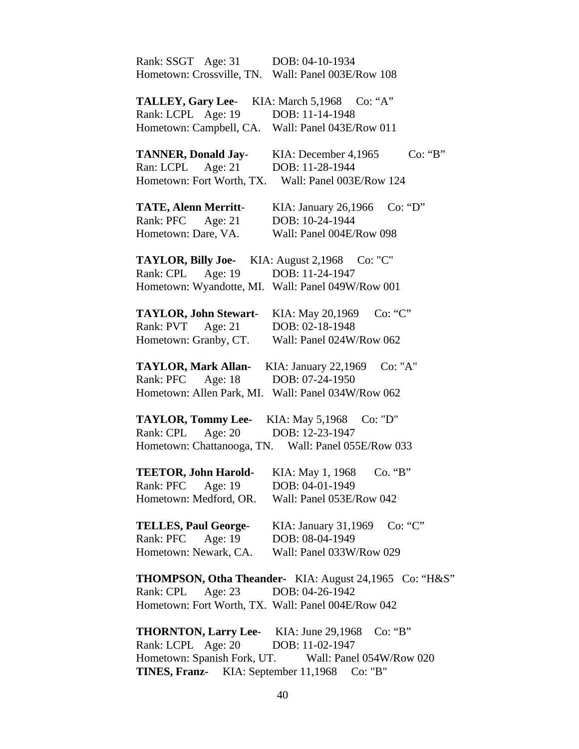| Rank: SSGT Age: 31                                 | DOB: 04-10-1934                                               |
|----------------------------------------------------|---------------------------------------------------------------|
| Hometown: Crossville, TN. Wall: Panel 003E/Row 108 |                                                               |
|                                                    |                                                               |
| <b>TALLEY, Gary Lee-</b>                           | KIA: March 5,1968<br>Co: "A"                                  |
| Rank: LCPL Age: 19                                 | DOB: 11-14-1948                                               |
| Hometown: Campbell, CA. Wall: Panel 043E/Row 011   |                                                               |
| <b>TANNER, Donald Jay-</b>                         | KIA: December 4,1965<br>Co: "B"                               |
| Age: $21$<br>Ran: LCPL                             | DOB: 11-28-1944                                               |
| Hometown: Fort Worth, TX.                          | Wall: Panel 003E/Row 124                                      |
| <b>TATE, Alenn Merritt-</b>                        | KIA: January 26,1966<br>Co: "D"                               |
| Rank: PFC<br>Age: $21$                             | DOB: 10-24-1944                                               |
| Hometown: Dare, VA.                                | Wall: Panel 004E/Row 098                                      |
|                                                    |                                                               |
| TAYLOR, Billy Joe- KIA: August 2,1968 Co: "C"      |                                                               |
| Rank: CPL Age: 19                                  | DOB: 11-24-1947                                               |
| Hometown: Wyandotte, MI. Wall: Panel 049W/Row 001  |                                                               |
|                                                    |                                                               |
| <b>TAYLOR, John Stewart-</b>                       | KIA: May 20,1969<br>Co: "C"                                   |
| Age: $21$<br>Rank: PVT                             | DOB: 02-18-1948                                               |
| Hometown: Granby, CT.                              | Wall: Panel 024W/Row 062                                      |
| <b>TAYLOR, Mark Allan-</b>                         | Co: "A"<br>KIA: January 22,1969                               |
| Rank: PFC<br>Age: $18$                             | DOB: 07-24-1950                                               |
| Hometown: Allen Park, MI.                          | Wall: Panel 034W/Row 062                                      |
|                                                    |                                                               |
| <b>TAYLOR, Tommy Lee-</b>                          | KIA: May 5,1968<br>Co: "D"                                    |
| Rank: CPL<br>Age: $20$                             | DOB: 12-23-1947                                               |
|                                                    | Hometown: Chattanooga, TN. Wall: Panel 055E/Row 033           |
| <b>TEETOR, John Harold-</b>                        | KIA: May 1, 1968<br>Co. "B"                                   |
| Rank: PFC<br>Age: 19                               | DOB: 04-01-1949                                               |
| Hometown: Medford, OR.                             | Wall: Panel 053E/Row 042                                      |
| <b>TELLES, Paul George-</b>                        | Co: "C"<br>KIA: January 31,1969                               |
| Age: 19<br>Rank: PFC                               | DOB: 08-04-1949                                               |
| Hometown: Newark, CA.                              | Wall: Panel 033W/Row 029                                      |
|                                                    |                                                               |
|                                                    | <b>THOMPSON, Otha Theander-</b> KIA: August 24,1965 Co: "H&S" |
| Age: 23<br>Rank: CPL                               | DOB: 04-26-1942                                               |
| Hometown: Fort Worth, TX. Wall: Panel 004E/Row 042 |                                                               |
| <b>THORNTON, Larry Lee-</b> KIA: June 29,1968      | Co: "B"                                                       |
| Rank: LCPL Age: 20                                 | DOB: 11-02-1947                                               |
| Hometown: Spanish Fork, UT.                        | Wall: Panel 054W/Row 020                                      |
|                                                    |                                                               |

**TINES, Franz-** KIA: September 11,1968 Co: "B"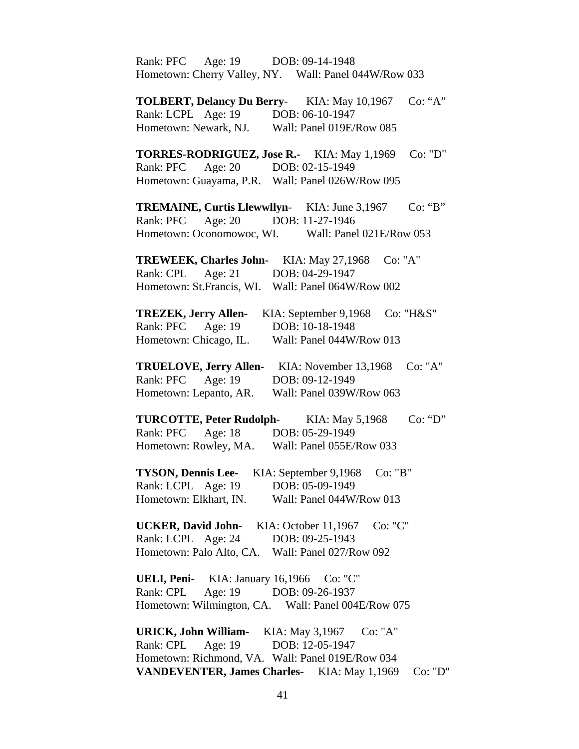Rank: PFC Age: 19 DOB: 09-14-1948 Hometown: Cherry Valley, NY. Wall: Panel 044W/Row 033 **TOLBERT, Delancy Du Berry**- KIA: May 10,1967 Co: "A" Rank: LCPL Age: 19 DOB: 06-10-1947 Hometown: Newark, NJ. Wall: Panel 019E/Row 085 **TORRES-RODRIGUEZ, Jose R.-** KIA: May 1,1969 Co: "D" Rank: PFC Age: 20 DOB: 02-15-1949 Hometown: Guayama, P.R. Wall: Panel 026W/Row 095 **TREMAINE, Curtis Llewwllyn-** KIA: June 3,1967 Co: "B" Rank: PFC Age: 20 DOB: 11-27-1946 Hometown: Oconomowoc, WI. Wall: Panel 021E/Row 053 **TREWEEK, Charles John-** KIA: May 27,1968 Co: "A" Rank: CPL Age: 21 DOB: 04-29-1947 Hometown: St.Francis, WI. Wall: Panel 064W/Row 002 **TREZEK, Jerry Allen-** KIA: September 9,1968 Co: "H&S" Rank: PFC Age: 19 DOB: 10-18-1948 Hometown: Chicago, IL. Wall: Panel 044W/Row 013 **TRUELOVE, Jerry Allen-** KIA: November 13,1968 Co: "A" Rank: PFC Age: 19 DOB: 09-12-1949 Hometown: Lepanto, AR. Wall: Panel 039W/Row 063 **TURCOTTE, Peter Rudolph-** KIA: May 5,1968 Co: "D" Rank: PFC Age: 18 DOB: 05-29-1949 Hometown: Rowley, MA. Wall: Panel 055E/Row 033 **TYSON, Dennis Lee-** KIA: September 9,1968 Co: "B" Rank: LCPL Age: 19 DOB: 05-09-1949 Hometown: Elkhart, IN. Wall: Panel 044W/Row 013 **UCKER, David John-** KIA: October 11,1967 Co: "C" Rank: LCPL Age: 24 DOB: 09-25-1943 Hometown: Palo Alto, CA. Wall: Panel 027/Row 092 **UELI, Peni-** KIA: January 16,1966 Co: "C" Rank: CPL Age: 19 DOB: 09-26-1937 Hometown: Wilmington, CA. Wall: Panel 004E/Row 075 **URICK, John William-** KIA: May 3,1967 Co: "A" Rank: CPL Age: 19 DOB: 12-05-1947 Hometown: Richmond, VA. Wall: Panel 019E/Row 034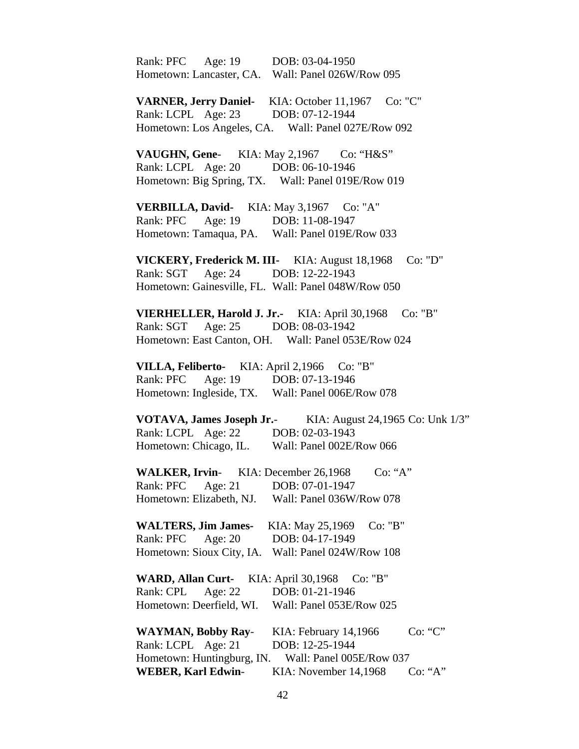Rank: PFC Age: 19 DOB: 03-04-1950 Hometown: Lancaster, CA. Wall: Panel 026W/Row 095 **VARNER, Jerry Daniel-** KIA: October 11,1967 Co: "C" Rank: LCPL Age: 23 DOB: 07-12-1944 Hometown: Los Angeles, CA. Wall: Panel 027E/Row 092 **VAUGHN, Gene-** KIA: May 2,1967 Co: "H&S" Rank: LCPL Age: 20 DOB: 06-10-1946 Hometown: Big Spring, TX. Wall: Panel 019E/Row 019 **VERBILLA, David-** KIA: May 3,1967 Co: "A" Rank: PFC Age: 19 DOB: 11-08-1947 Hometown: Tamaqua, PA. Wall: Panel 019E/Row 033 **VICKERY, Frederick M. III-** KIA: August 18,1968 Co: "D" Rank: SGT Age: 24 DOB: 12-22-1943 Hometown: Gainesville, FL. Wall: Panel 048W/Row 050 **VIERHELLER, Harold J. Jr.-** KIA: April 30,1968 Co: "B" Rank: SGT Age: 25 DOB: 08-03-1942 Hometown: East Canton, OH. Wall: Panel 053E/Row 024 **VILLA, Feliberto-** KIA: April 2,1966 Co: "B" Rank: PFC Age: 19 DOB: 07-13-1946 Hometown: Ingleside, TX. Wall: Panel 006E/Row 078

 **VOTAVA, James Joseph Jr.**- KIA: August 24,1965 Co: Unk 1/3" Rank: LCPL Age: 22 DOB: 02-03-1943 Hometown: Chicago, IL. Wall: Panel 002E/Row 066

**WALKER, Irvin-** KIA: December 26,1968 Co: "A" Rank: PFC Age: 21 DOB: 07-01-1947 Hometown: Elizabeth, NJ. Wall: Panel 036W/Row 078

 **WALTERS, Jim James-** KIA: May 25,1969 Co: "B" Rank: PFC Age: 20 DOB: 04-17-1949 Hometown: Sioux City, IA. Wall: Panel 024W/Row 108

**WARD, Allan Curt-** KIA: April 30,1968 Co: "B" Rank: CPL Age: 22 DOB: 01-21-1946 Hometown: Deerfield, WI. Wall: Panel 053E/Row 025

**WAYMAN, Bobby Ray-** KIA: February 14,1966 Co: "C" Rank: LCPL Age: 21 DOB: 12-25-1944 Hometown: Huntingburg, IN. Wall: Panel 005E/Row 037 **WEBER, Karl Edwin-** KIA: November 14,1968 Co: "A"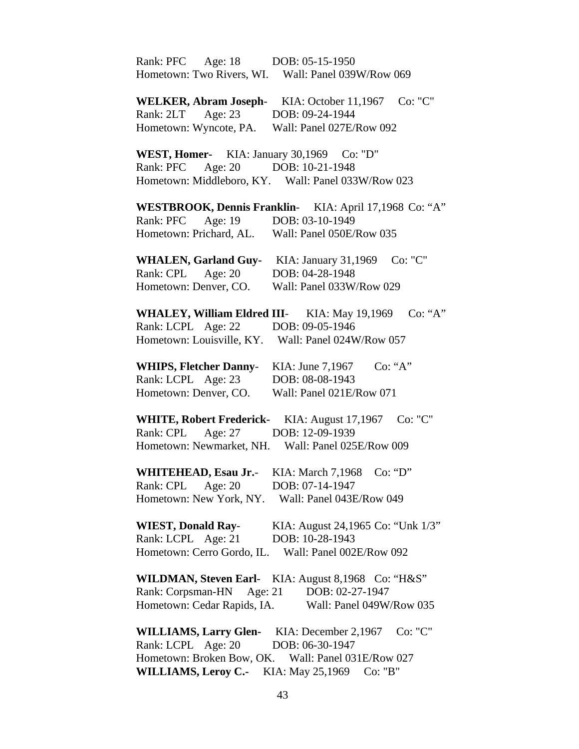| Rank: PFC Age: 18 DOB: 05-15-1950                   |                                                        |
|-----------------------------------------------------|--------------------------------------------------------|
|                                                     | Hometown: Two Rivers, WI. Wall: Panel 039W/Row 069     |
|                                                     |                                                        |
| <b>WELKER, Abram Joseph-</b>                        | Co: "C"<br>KIA: October 11,1967                        |
| Rank: 2LT Age: 23 DOB: 09-24-1944                   |                                                        |
| Hometown: Wyncote, PA.                              | Wall: Panel 027E/Row 092                               |
| WEST, Homer- KIA: January 30,1969 Co: "D"           |                                                        |
| Rank: PFC                                           | Age: 20 DOB: 10-21-1948                                |
|                                                     | Hometown: Middleboro, KY. Wall: Panel 033W/Row 023     |
|                                                     |                                                        |
|                                                     | WESTBROOK, Dennis Franklin- KIA: April 17,1968 Co: "A" |
| Rank: PFC Age: 19                                   | DOB: 03-10-1949                                        |
| Hometown: Prichard, AL.                             | Wall: Panel 050E/Row 035                               |
|                                                     | WHALEN, Garland Guy- KIA: January 31,1969 Co: "C"      |
| Rank: CPL Age: 20                                   | DOB: 04-28-1948                                        |
|                                                     | Wall: Panel 033W/Row 029                               |
| Hometown: Denver, CO.                               |                                                        |
| WHALEY, William Eldred III- KIA: May 19,1969        | Co: "A"                                                |
| Rank: LCPL Age: 22                                  | DOB: 09-05-1946                                        |
|                                                     | Hometown: Louisville, KY. Wall: Panel 024W/Row 057     |
|                                                     |                                                        |
| <b>WHIPS, Fletcher Danny-</b>                       | Co: "A"<br>KIA: June 7,1967                            |
| Rank: LCPL Age: 23                                  | DOB: 08-08-1943                                        |
| Hometown: Denver, CO.                               | Wall: Panel 021E/Row 071                               |
| <b>WHITE, Robert Frederick-</b> KIA: August 17,1967 | Co: "C"                                                |
| Rank: CPL Age: 27 DOB: 12-09-1939                   |                                                        |
|                                                     | Hometown: Newmarket, NH. Wall: Panel 025E/Row 009      |
|                                                     |                                                        |
| <b>WHITEHEAD, Esau Jr.-</b>                         | KIA: March 7,1968<br>Co: "D"                           |
| Rank: CPL<br>Age: $20$                              | DOB: 07-14-1947                                        |
| Hometown: New York, NY. Wall: Panel 043E/Row 049    |                                                        |
| <b>WIEST, Donald Ray-</b>                           | KIA: August 24,1965 Co: "Unk 1/3"                      |
|                                                     |                                                        |
| Rank: LCPL Age: 21                                  | DOB: 10-28-1943                                        |
| Hometown: Cerro Gordo, IL.                          | Wall: Panel 002E/Row 092                               |
|                                                     | WILDMAN, Steven Earl- KIA: August 8,1968 Co: "H&S"     |
| Rank: Corpsman-HN<br>Age: $21$                      | DOB: 02-27-1947                                        |
| Hometown: Cedar Rapids, IA.                         | Wall: Panel 049W/Row 035                               |
|                                                     | Co: "C"                                                |
| <b>WILLIAMS, Larry Glen-</b>                        | KIA: December $2,1967$                                 |
| Rank: LCPL Age: 20                                  | DOB: 06-30-1947                                        |
|                                                     | Hometown: Broken Bow, OK. Wall: Panel 031E/Row 027     |
| <b>WILLIAMS, Leroy C.-</b>                          | KIA: May 25,1969<br>Co: "B"                            |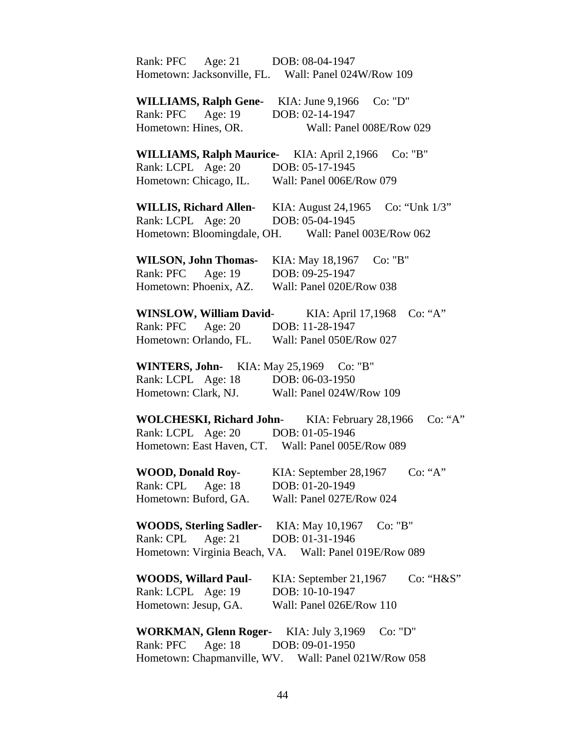| Rank: PFC Age: 21 DOB: 08-04-1947               |                                                                  |
|-------------------------------------------------|------------------------------------------------------------------|
|                                                 | Hometown: Jacksonville, FL. Wall: Panel 024W/Row 109             |
|                                                 |                                                                  |
|                                                 | WILLIAMS, Ralph Gene- KIA: June 9,1966 Co: "D"                   |
| Rank: PFC Age: 19                               | DOB: 02-14-1947                                                  |
| Hometown: Hines, OR.                            | Wall: Panel 008E/Row 029                                         |
|                                                 |                                                                  |
|                                                 | WILLIAMS, Ralph Maurice- KIA: April 2,1966 Co: "B"               |
| Rank: LCPL Age: 20                              | DOB: 05-17-1945                                                  |
| Hometown: Chicago, IL.                          | Wall: Panel 006E/Row 079                                         |
|                                                 |                                                                  |
|                                                 | WILLIS, Richard Allen- KIA: August 24,1965 Co: "Unk 1/3"         |
| Rank: LCPL Age: 20                              | DOB: 05-04-1945                                                  |
|                                                 | Hometown: Bloomingdale, OH. Wall: Panel 003E/Row 062             |
|                                                 |                                                                  |
| <b>WILSON, John Thomas-</b>                     | KIA: May 18,1967 Co: "B"                                         |
| Rank: PFC Age: 19                               | DOB: 09-25-1947                                                  |
| Hometown: Phoenix, AZ.                          | Wall: Panel 020E/Row 038                                         |
|                                                 |                                                                  |
|                                                 | WINSLOW, William David-<br>KIA: April 17,1968<br>Co: "A"         |
| Rank: PFC<br>Age: $20$                          | DOB: 11-28-1947                                                  |
| Hometown: Orlando, FL. Wall: Panel 050E/Row 027 |                                                                  |
|                                                 |                                                                  |
| WINTERS, John- KIA: May 25,1969 Co: "B"         |                                                                  |
| Rank: LCPL Age: 18                              | DOB: 06-03-1950                                                  |
| Hometown: Clark, NJ.                            | Wall: Panel 024W/Row 109                                         |
|                                                 |                                                                  |
|                                                 | <b>WOLCHESKI, Richard John-</b> KIA: February 28,1966<br>Co: "A" |
| Rank: LCPL Age: 20 DOB: 01-05-1946              |                                                                  |
|                                                 | Hometown: East Haven, CT. Wall: Panel 005E/Row 089               |
|                                                 |                                                                  |
| <b>WOOD, Donald Roy-</b>                        | Co: "A"<br>KIA: September 28,1967                                |
| Rank: CPL<br>Age: 18                            | DOB: 01-20-1949                                                  |
| Hometown: Buford, GA.                           | Wall: Panel 027E/Row 024                                         |
|                                                 |                                                                  |
| <b>WOODS, Sterling Sadler-</b> KIA: May 10,1967 | Co: "B"                                                          |
| Age: $21$<br>Rank: CPL                          | DOB: 01-31-1946                                                  |
|                                                 | Hometown: Virginia Beach, VA. Wall: Panel 019E/Row 089           |
|                                                 |                                                                  |
| <b>WOODS, Willard Paul-</b>                     | KIA: September 21,1967<br>Co: "H&S"                              |
| Rank: LCPL Age: 19                              | DOB: 10-10-1947                                                  |
| Hometown: Jesup, GA.                            | Wall: Panel 026E/Row 110                                         |
|                                                 |                                                                  |
| WORKMAN, Glenn Roger- KIA: July 3,1969          | Co: "D"                                                          |
| Age: $18$<br>Rank: PFC                          | DOB: 09-01-1950                                                  |
|                                                 | Hometown: Chapmanville, WV. Wall: Panel 021W/Row 058             |
|                                                 |                                                                  |